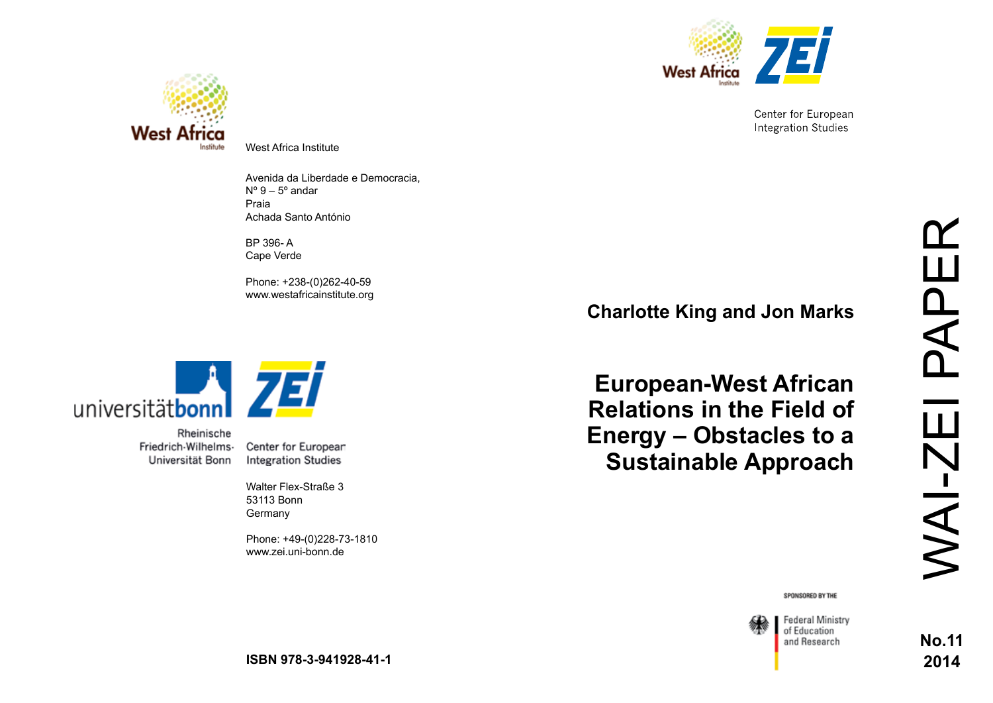

Center for European **Integration Studies** 



West Africa Institute

Avenida da Liberdade e Democracia,  $N^{\circ}$  9 – 5 $^{\circ}$  andar Praia Achada Santo António

BP 396- A Cape Verde

Phone: +238-(0)262-40-59 www.westafricainstitute.org



Rheinische Friedrich-Wilhelms-Universität Bonn

Center for European **Integration Studies** 

Walter Flex-Straße 3 53113 Bonn Germany

Phone: +49-(0)228-73-1810 www.zei.uni-bonn.de

**Charlotte King and Jon Marks**

**European-West African Relations in the Field of Energy – Obstacles to a Sustainable Approach**

SPONSORED BY THE



Federal Ministry of Education and Research

**No.11 2014**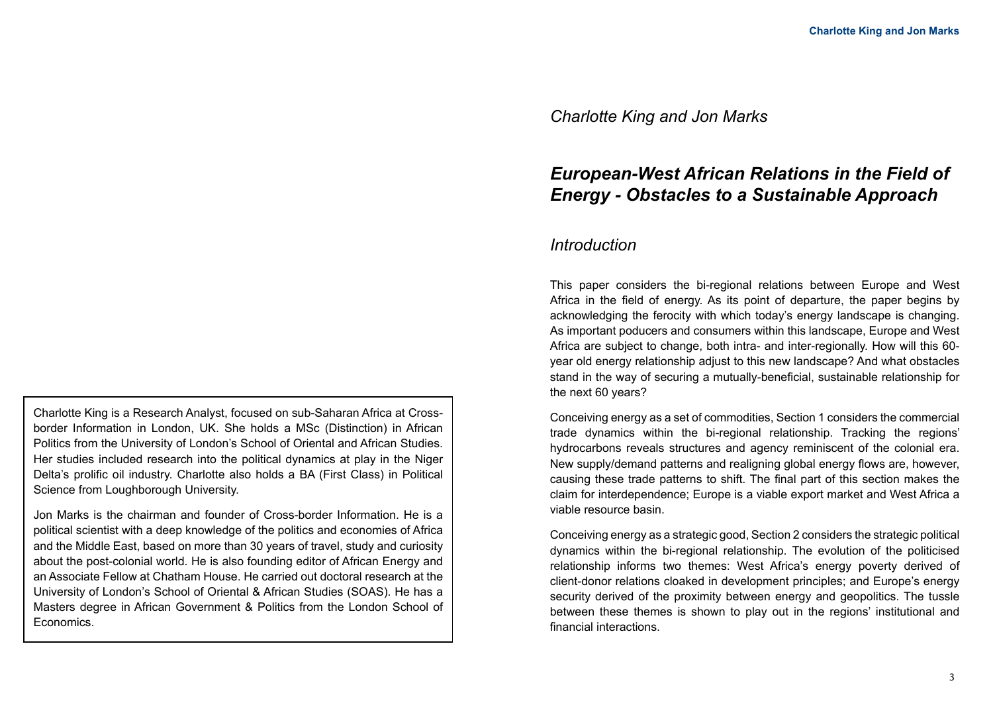## *Charlotte King and Jon Marks*

# *European-West African Relations in the Field of Energy - Obstacles to a Sustainable Approach*

## *Introduction*

This paper considers the bi-regional relations between Europe and West Africa in the field of energy. As its point of departure, the paper begins by acknowledging the ferocity with which today's energy landscape is changing. As important poducers and consumers within this landscape, Europe and West Africa are subject to change, both intra- and inter-regionally. How will this 60 year old energy relationship adjust to this new landscape? And what obstacles stand in the way of securing a mutually-beneficial, sustainable relationship for the next 60 years?

Conceiving energy as a set of commodities, Section 1 considers the commercial trade dynamics within the bi-regional relationship. Tracking the regions' hydrocarbons reveals structures and agency reminiscent of the colonial era. New supply/demand patterns and realigning global energy flows are, however, causing these trade patterns to shift. The final part of this section makes the claim for interdependence; Europe is a viable export market and West Africa a viable resource basin.

Conceiving energy as a strategic good, Section 2 considers the strategic political dynamics within the bi-regional relationship. The evolution of the politicised relationship informs two themes: West Africa's energy poverty derived of client-donor relations cloaked in development principles; and Europe's energy security derived of the proximity between energy and geopolitics. The tussle between these themes is shown to play out in the regions' institutional and financial interactions.

Charlotte King is a Research Analyst, focused on sub-Saharan Africa at Crossborder Information in London, UK. She holds a MSc (Distinction) in African Politics from the University of London's School of Oriental and African Studies. Her studies included research into the political dynamics at play in the Niger Delta's prolific oil industry. Charlotte also holds a BA (First Class) in Political Science from Loughborough University.

Jon Marks is the chairman and founder of Cross-border Information. He is a political scientist with a deep knowledge of the politics and economies of Africa and the Middle East, based on more than 30 years of travel, study and curiosity about the post-colonial world. He is also founding editor of African Energy and an Associate Fellow at Chatham House. He carried out doctoral research at the University of London's School of Oriental & African Studies (SOAS). He has a Masters degree in African Government & Politics from the London School of **Economics**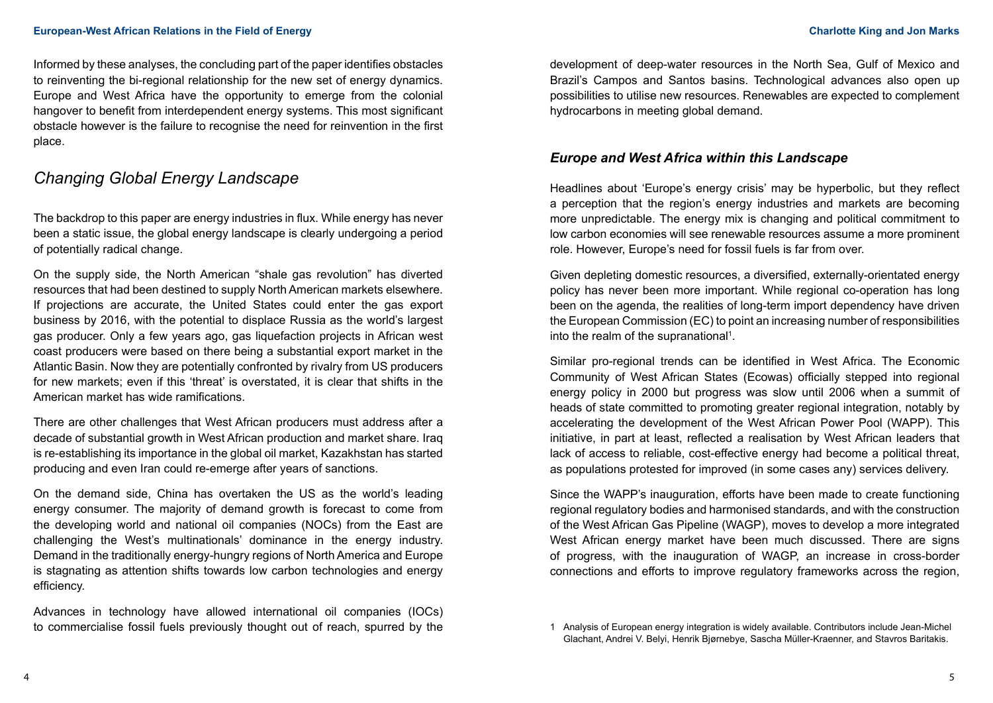Informed by these analyses, the concluding part of the paper identifies obstacles to reinventing the bi-regional relationship for the new set of energy dynamics. Europe and West Africa have the opportunity to emerge from the colonial hangover to benefit from interdependent energy systems. This most significant obstacle however is the failure to recognise the need for reinvention in the first place.

# *Changing Global Energy Landscape*

The backdrop to this paper are energy industries in flux. While energy has never been a static issue, the global energy landscape is clearly undergoing a period of potentially radical change.

On the supply side, the North American "shale gas revolution" has diverted resources that had been destined to supply North American markets elsewhere. If projections are accurate, the United States could enter the gas export business by 2016, with the potential to displace Russia as the world's largest gas producer. Only a few years ago, gas liquefaction projects in African west coast producers were based on there being a substantial export market in the Atlantic Basin. Now they are potentially confronted by rivalry from US producers for new markets; even if this 'threat' is overstated, it is clear that shifts in the American market has wide ramifications.

There are other challenges that West African producers must address after a decade of substantial growth in West African production and market share. Iraq is re-establishing its importance in the global oil market, Kazakhstan has started producing and even Iran could re-emerge after years of sanctions.

On the demand side, China has overtaken the US as the world's leading energy consumer. The majority of demand growth is forecast to come from the developing world and national oil companies (NOCs) from the East are challenging the West's multinationals' dominance in the energy industry. Demand in the traditionally energy-hungry regions of North America and Europe is stagnating as attention shifts towards low carbon technologies and energy efficiency.

Advances in technology have allowed international oil companies (IOCs) to commercialise fossil fuels previously thought out of reach, spurred by the development of deep-water resources in the North Sea, Gulf of Mexico and Brazil's Campos and Santos basins. Technological advances also open up possibilities to utilise new resources. Renewables are expected to complement hydrocarbons in meeting global demand.

## *Europe and West Africa within this Landscape*

Headlines about 'Europe's energy crisis' may be hyperbolic, but they reflect a perception that the region's energy industries and markets are becoming more unpredictable. The energy mix is changing and political commitment to low carbon economies will see renewable resources assume a more prominent role. However, Europe's need for fossil fuels is far from over.

Given depleting domestic resources, a diversified, externally-orientated energy policy has never been more important. While regional co-operation has long been on the agenda, the realities of long-term import dependency have driven the European Commission (EC) to point an increasing number of responsibilities into the realm of the supranational<sup>1</sup>.

Similar pro-regional trends can be identified in West Africa. The Economic Community of West African States (Ecowas) officially stepped into regional energy policy in 2000 but progress was slow until 2006 when a summit of heads of state committed to promoting greater regional integration, notably by accelerating the development of the West African Power Pool (WAPP). This initiative, in part at least, reflected a realisation by West African leaders that lack of access to reliable, cost-effective energy had become a political threat, as populations protested for improved (in some cases any) services delivery.

Since the WAPP's inauguration, efforts have been made to create functioning regional regulatory bodies and harmonised standards, and with the construction of the West African Gas Pipeline (WAGP), moves to develop a more integrated West African energy market have been much discussed. There are signs of progress, with the inauguration of WAGP, an increase in cross-border connections and efforts to improve regulatory frameworks across the region,

<sup>1</sup> Analysis of European energy integration is widely available. Contributors include Jean-Michel Glachant, Andrei V. Belyi, Henrik Bjørnebye, Sascha Müller-Kraenner, and [Stavros Baritakis.](https://www.google.co.uk/search?sa=N&biw=785&bih=696&tbm=bks&tbm=bks&q=inauthor:%22Stavros+Baritakis%22&ei=H6spU4XlE86RhQfo_4GQAg&ved=0CGEQ9AgwCTgU)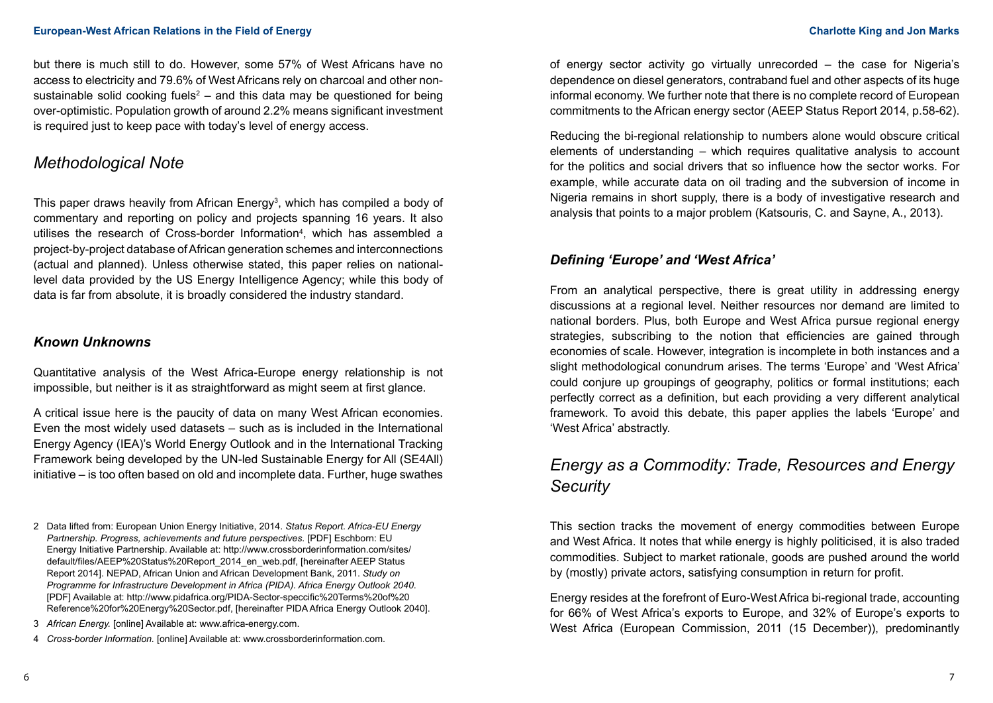but there is much still to do. However, some 57% of West Africans have no access to electricity and 79.6% of West Africans rely on charcoal and other nonsustainable solid cooking fuels<sup>2</sup> – and this data may be questioned for being over-optimistic. Population growth of around 2.2% means significant investment is required just to keep pace with today's level of energy access.

# *Methodological Note*

This paper draws heavily from African Energy<sup>3</sup>, which has compiled a body of commentary and reporting on policy and projects spanning 16 years. It also utilises the research of Cross-border Information<sup>4</sup>, which has assembled a project-by-project database of African generation schemes and interconnections (actual and planned). Unless otherwise stated, this paper relies on nationallevel data provided by the US Energy Intelligence Agency; while this body of data is far from absolute, it is broadly considered the industry standard.

### *Known Unknowns*

Quantitative analysis of the West Africa-Europe energy relationship is not impossible, but neither is it as straightforward as might seem at first glance.

A critical issue here is the paucity of data on many West African economies. Even the most widely used datasets – such as is included in the International Energy Agency (IEA)'s World Energy Outlook and in the International Tracking Framework being developed by the UN-led Sustainable Energy for All (SE4All) initiative – is too often based on old and incomplete data. Further, huge swathes

4 *Cross-border Information.* [online] Available at: www.crossborderinformation.com.

of energy sector activity go virtually unrecorded – the case for Nigeria's dependence on diesel generators, contraband fuel and other aspects of its huge informal economy. We further note that there is no complete record of European commitments to the African energy sector (AEEP Status Report 2014, p.58-62).

Reducing the bi-regional relationship to numbers alone would obscure critical elements of understanding – which requires qualitative analysis to account for the politics and social drivers that so influence how the sector works. For example, while accurate data on oil trading and the subversion of income in Nigeria remains in short supply, there is a body of investigative research and analysis that points to a major problem (Katsouris, C. and Sayne, A., 2013).

## *Defining 'Europe' and 'West Africa'*

From an analytical perspective, there is great utility in addressing energy discussions at a regional level. Neither resources nor demand are limited to national borders. Plus, both Europe and West Africa pursue regional energy strategies, subscribing to the notion that efficiencies are gained through economies of scale. However, integration is incomplete in both instances and a slight methodological conundrum arises. The terms 'Europe' and 'West Africa' could conjure up groupings of geography, politics or formal institutions; each perfectly correct as a definition, but each providing a very different analytical framework. To avoid this debate, this paper applies the labels 'Europe' and 'West Africa' abstractly.

# *Energy as a Commodity: Trade, Resources and Energy Security*

This section tracks the movement of energy commodities between Europe and West Africa. It notes that while energy is highly politicised, it is also traded commodities. Subject to market rationale, goods are pushed around the world by (mostly) private actors, satisfying consumption in return for profit.

Energy resides at the forefront of Euro-West Africa bi-regional trade, accounting for 66% of West Africa's exports to Europe, and 32% of Europe's exports to West Africa (European Commission, 2011 (15 December)), predominantly

<sup>2</sup> Data lifted from: European Union Energy Initiative, 2014. *Status Report. Africa-EU Energy Partnership. Progress, achievements and future perspectives.* [PDF] Eschborn: EU Energy Initiative Partnership. Available at: http://www.crossborderinformation.com/sites/ default/files/AEEP%20Status%20Report\_2014\_en\_web.pdf, [hereinafter AEEP Status Report 2014]. NEPAD, African Union and African Development Bank, 2011. *Study on Programme for Infrastructure Development in Africa (PIDA). Africa Energy Outlook 2040*. [PDF] Available at: http://www.pidafrica.org/PIDA-Sector-speccific%20Terms%20of%20 Reference%20for%20Energy%20Sector.pdf, [hereinafter PIDA Africa Energy Outlook 2040].

<sup>3</sup> *African Energy.* [online] Available at: [www.africa-energy.com.](http://www.africa-energy.com)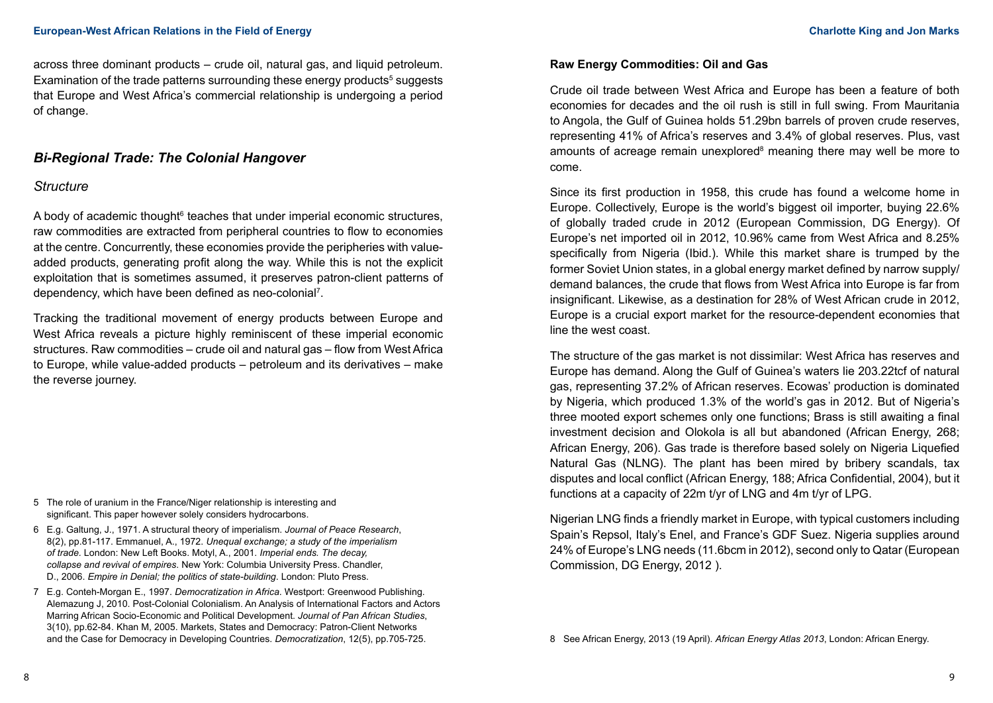across three dominant products – crude oil, natural gas, and liquid petroleum. Examination of the trade patterns surrounding these energy products $^5$  suggests that Europe and West Africa's commercial relationship is undergoing a period of change.

## *Bi-Regional Trade: The Colonial Hangover*

### *Structure*

A body of academic thought<sup>6</sup> teaches that under imperial economic structures, raw commodities are extracted from peripheral countries to flow to economies at the centre. Concurrently, these economies provide the peripheries with valueadded products, generating profit along the way. While this is not the explicit exploitation that is sometimes assumed, it preserves patron-client patterns of dependency, which have been defined as neo-colonial<sup>7</sup> .

Tracking the traditional movement of energy products between Europe and West Africa reveals a picture highly reminiscent of these imperial economic structures. Raw commodities – crude oil and natural gas – flow from West Africa to Europe, while value-added products – petroleum and its derivatives – make the reverse journey.

- 5 The role of uranium in the France/Niger relationship is interesting and significant. This paper however solely considers hydrocarbons.
- 6 E.g. Galtung, J., 1971. A structural theory of imperialism. *Journal of Peace Research*, 8(2), pp.81-117. Emmanuel, A., 1972. *Unequal exchange; a study of the imperialism of trade.* London: New Left Books. Motyl, A., 2001. *Imperial ends. The decay, collapse and revival of empires*. New York: Columbia University Press. Chandler, D., 2006. *Empire in Denial; the politics of state-building*. London: Pluto Press.
- 7 E.g. Conteh-Morgan E., 1997. *Democratization in Africa*. Westport: Greenwood Publishing. Alemazung J, 2010. Post-Colonial Colonialism. An Analysis of International Factors and Actors Marring African Socio-Economic and Political Development. *Journal of Pan African Studies*, 3(10), pp.62-84. Khan M, 2005. Markets, States and Democracy: Patron-Client Networks and the Case for Democracy in Developing Countries. *Democratization*, 12(5), pp.705-725.

## **Raw Energy Commodities: Oil and Gas**

Crude oil trade between West Africa and Europe has been a feature of both economies for decades and the oil rush is still in full swing. From Mauritania to Angola, the Gulf of Guinea holds 51.29bn barrels of proven crude reserves, representing 41% of Africa's reserves and 3.4% of global reserves. Plus, vast amounts of acreage remain unexplored<sup>8</sup> meaning there may well be more to come.

Since its first production in 1958, this crude has found a welcome home in Europe. Collectively, Europe is the world's biggest oil importer, buying 22.6% of globally traded crude in 2012 (European Commission, DG Energy). Of Europe's net imported oil in 2012, 10.96% came from West Africa and 8.25% specifically from Nigeria (Ibid.). While this market share is trumped by the former Soviet Union states, in a global energy market defined by narrow supply/ demand balances, the crude that flows from West Africa into Europe is far from insignificant. Likewise, as a destination for 28% of West African crude in 2012, Europe is a crucial export market for the resource-dependent economies that line the west coast.

The structure of the gas market is not dissimilar: West Africa has reserves and Europe has demand. Along the Gulf of Guinea's waters lie 203.22tcf of natural gas, representing 37.2% of African reserves. Ecowas' production is dominated by Nigeria, which produced 1.3% of the world's gas in 2012. But of Nigeria's three mooted export schemes only one functions; Brass is still awaiting a final investment decision and Olokola is all but abandoned (African Energy, 268; African Energy, 206). Gas trade is therefore based solely on Nigeria Liquefied Natural Gas (NLNG). The plant has been mired by bribery scandals, tax disputes and local conflict (African Energy, 188; Africa Confidential, 2004), but it functions at a capacity of 22m t/yr of LNG and 4m t/yr of LPG.

Nigerian LNG finds a friendly market in Europe, with typical customers including Spain's Repsol, Italy's Enel, and France's GDF Suez. Nigeria supplies around 24% of Europe's LNG needs (11.6bcm in 2012), second only to Qatar (European Commission, DG Energy, 2012 ).

8 See African Energy, 2013 (19 April). *African Energy Atlas 2013*, London: African Energy.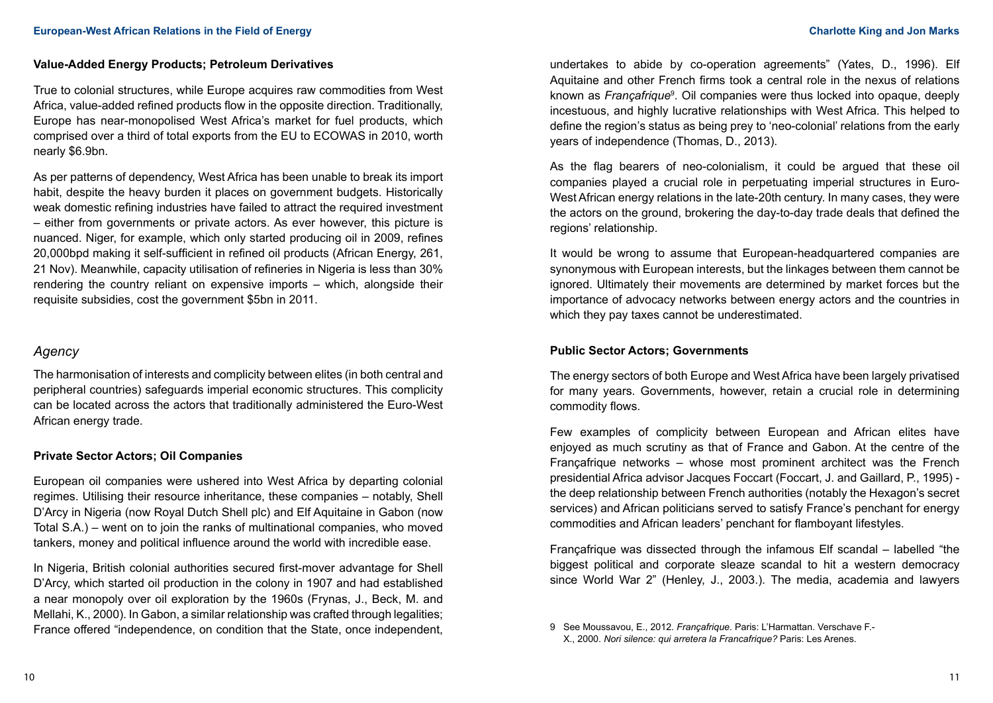#### **Value-Added Energy Products; Petroleum Derivatives**

True to colonial structures, while Europe acquires raw commodities from West Africa, value-added refined products flow in the opposite direction. Traditionally, Europe has near-monopolised West Africa's market for fuel products, which comprised over a third of total exports from the EU to ECOWAS in 2010, worth nearly \$6.9bn.

As per patterns of dependency, West Africa has been unable to break its import habit, despite the heavy burden it places on government budgets. Historically weak domestic refining industries have failed to attract the required investment – either from governments or private actors. As ever however, this picture is nuanced. Niger, for example, which only started producing oil in 2009, refines 20,000bpd making it self-sufficient in refined oil products (African Energy, 261, 21 Nov). Meanwhile, capacity utilisation of refineries in Nigeria is less than 30% rendering the country reliant on expensive imports – which, alongside their requisite subsidies, cost the government \$5bn in 2011.

### *Agency*

The harmonisation of interests and complicity between elites (in both central and peripheral countries) safeguards imperial economic structures. This complicity can be located across the actors that traditionally administered the Euro-West African energy trade.

#### **Private Sector Actors; Oil Companies**

European oil companies were ushered into West Africa by departing colonial regimes. Utilising their resource inheritance, these companies – notably, Shell D'Arcy in Nigeria (now Royal Dutch Shell plc) and Elf Aquitaine in Gabon (now Total S.A.) – went on to join the ranks of multinational companies, who moved tankers, money and political influence around the world with incredible ease.

In Nigeria, British colonial authorities secured first-mover advantage for Shell D'Arcy, which started oil production in the colony in 1907 and had established a near monopoly over oil exploration by the 1960s (Frynas, J., Beck, M. and Mellahi, K., 2000). In Gabon, a similar relationship was crafted through legalities; France offered "independence, on condition that the State, once independent,

undertakes to abide by co-operation agreements" (Yates, D., 1996). Elf Aquitaine and other French firms took a central role in the nexus of relations known as *Françafrique*<sup>s</sup>. Oil companies were thus locked into opaque, deeply incestuous, and highly lucrative relationships with West Africa. This helped to define the region's status as being prey to 'neo-colonial' relations from the early years of independence (Thomas, D., 2013).

As the flag bearers of neo-colonialism, it could be argued that these oil companies played a crucial role in perpetuating imperial structures in Euro-West African energy relations in the late-20th century. In many cases, they were the actors on the ground, brokering the day-to-day trade deals that defined the regions' relationship.

It would be wrong to assume that European-headquartered companies are synonymous with European interests, but the linkages between them cannot be ignored. Ultimately their movements are determined by market forces but the importance of advocacy networks between energy actors and the countries in which they pay taxes cannot be underestimated.

### **Public Sector Actors; Governments**

The energy sectors of both Europe and West Africa have been largely privatised for many years. Governments, however, retain a crucial role in determining commodity flows.

Few examples of complicity between European and African elites have enjoyed as much scrutiny as that of France and Gabon. At the centre of the Françafrique networks – whose most prominent architect was the French presidential Africa advisor Jacques Foccart (Foccart, J. and Gaillard, P., 1995) the deep relationship between French authorities (notably the Hexagon's secret services) and African politicians served to satisfy France's penchant for energy commodities and African leaders' penchant for flamboyant lifestyles.

Françafrique was dissected through the infamous Elf scandal – labelled "the biggest political and corporate sleaze scandal to hit a western democracy since World War 2" (Henley, J., 2003.). The media, academia and lawyers

<sup>9</sup> See Moussavou, E., 2012. *Françafrique*. Paris: L'Harmattan. Verschave F.- X., 2000. *Nori silence: qui arretera la Francafrique?* Paris: Les Arenes.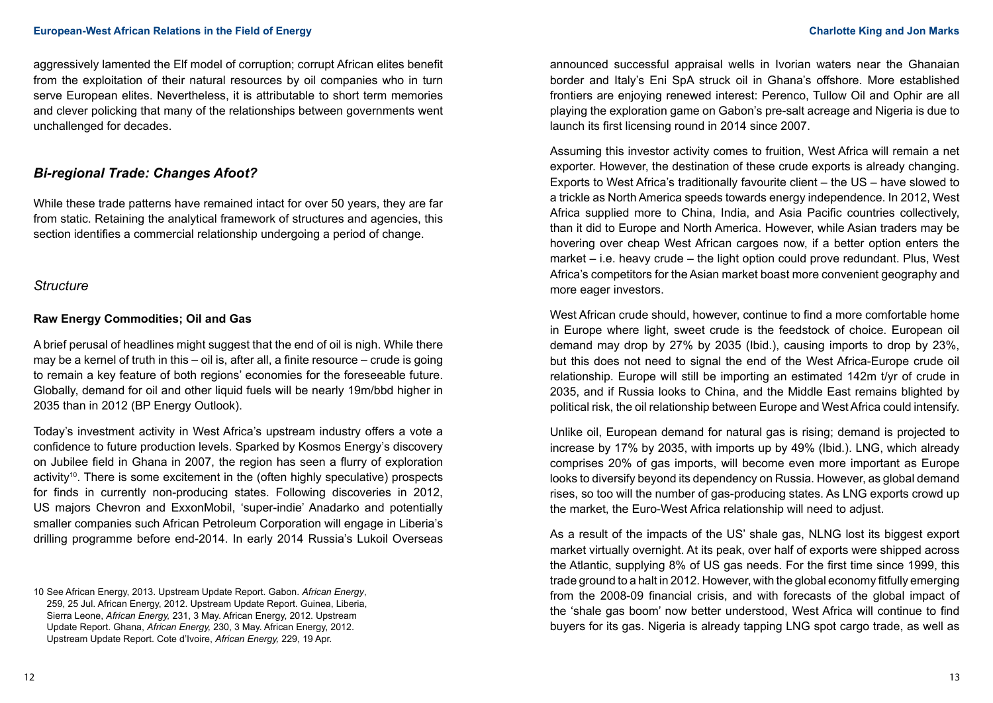aggressively lamented the Elf model of corruption; corrupt African elites benefit from the exploitation of their natural resources by oil companies who in turn serve European elites. Nevertheless, it is attributable to short term memories and clever policking that many of the relationships between governments went unchallenged for decades.

## *Bi-regional Trade: Changes Afoot?*

While these trade patterns have remained intact for over 50 years, they are far from static. Retaining the analytical framework of structures and agencies, this section identifies a commercial relationship undergoing a period of change.

### *Structure*

### **Raw Energy Commodities; Oil and Gas**

A brief perusal of headlines might suggest that the end of oil is nigh. While there may be a kernel of truth in this  $-$  oil is, after all, a finite resource  $-$  crude is going to remain a key feature of both regions' economies for the foreseeable future. Globally, demand for oil and other liquid fuels will be nearly 19m/bbd higher in 2035 than in 2012 (BP Energy Outlook).

Today's investment activity in West Africa's upstream industry offers a vote a confidence to future production levels. Sparked by Kosmos Energy's discovery on Jubilee field in Ghana in 2007, the region has seen a flurry of exploration activity<sup>10</sup>. There is some excitement in the (often highly speculative) prospects for finds in currently non-producing states. Following discoveries in 2012, US majors Chevron and ExxonMobil, 'super-indie' Anadarko and potentially smaller companies such African Petroleum Corporation will engage in Liberia's drilling programme before end-2014. In early 2014 Russia's Lukoil Overseas

announced successful appraisal wells in Ivorian waters near the Ghanaian border and Italy's Eni SpA struck oil in Ghana's offshore. More established frontiers are enjoying renewed interest: Perenco, Tullow Oil and Ophir are all playing the exploration game on Gabon's pre-salt acreage and Nigeria is due to launch its first licensing round in 2014 since 2007.

Assuming this investor activity comes to fruition, West Africa will remain a net exporter. However, the destination of these crude exports is already changing. Exports to West Africa's traditionally favourite client – the US – have slowed to a trickle as North America speeds towards energy independence. In 2012, West Africa supplied more to China, India, and Asia Pacific countries collectively, than it did to Europe and North America. However, while Asian traders may be hovering over cheap West African cargoes now, if a better option enters the market – i.e. heavy crude – the light option could prove redundant. Plus, West Africa's competitors for the Asian market boast more convenient geography and more eager investors.

West African crude should, however, continue to find a more comfortable home in Europe where light, sweet crude is the feedstock of choice. European oil demand may drop by 27% by 2035 (Ibid.), causing imports to drop by 23%, but this does not need to signal the end of the West Africa-Europe crude oil relationship. Europe will still be importing an estimated 142m t/yr of crude in 2035, and if Russia looks to China, and the Middle East remains blighted by political risk, the oil relationship between Europe and West Africa could intensify.

Unlike oil, European demand for natural gas is rising; demand is projected to increase by 17% by 2035, with imports up by 49% (Ibid.). LNG, which already comprises 20% of gas imports, will become even more important as Europe looks to diversify beyond its dependency on Russia. However, as global demand rises, so too will the number of gas-producing states. As LNG exports crowd up the market, the Euro-West Africa relationship will need to adjust.

As a result of the impacts of the US' shale gas, NLNG lost its biggest export market virtually overnight. At its peak, over half of exports were shipped across the Atlantic, supplying 8% of US gas needs. For the first time since 1999, this trade ground to a halt in 2012. However, with the global economy fitfully emerging from the 2008-09 financial crisis, and with forecasts of the global impact of the 'shale gas boom' now better understood, West Africa will continue to find buyers for its gas. Nigeria is already tapping LNG spot cargo trade, as well as

<sup>10</sup> See African Energy, 2013. Upstream Update Report. Gabon. *African Energy*, 259, 25 Jul. African Energy, 2012. Upstream Update Report. Guinea, Liberia, Sierra Leone, *African Energy,* 231, 3 May. African Energy, 2012. Upstream Update Report. Ghana, *African Energy,* 230, 3 May. African Energy, 2012. Upstream Update Report. Cote d'Ivoire, *African Energy,* 229, 19 Apr.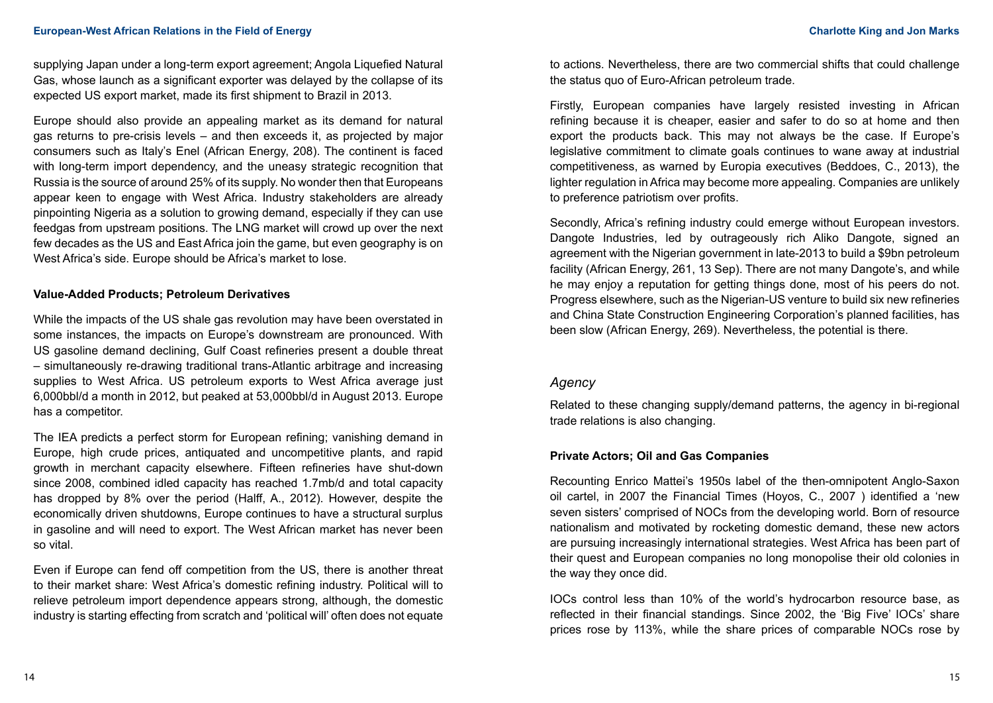supplying Japan under a long-term export agreement; Angola Liquefied Natural Gas, whose launch as a significant exporter was delayed by the collapse of its expected US export market, made its first shipment to Brazil in 2013.

Europe should also provide an appealing market as its demand for natural gas returns to pre-crisis levels – and then exceeds it, as projected by major consumers such as Italy's Enel (African Energy, 208). The continent is faced with long-term import dependency, and the uneasy strategic recognition that Russia is the source of around 25% of its supply. No wonder then that Europeans appear keen to engage with West Africa. Industry stakeholders are already pinpointing Nigeria as a solution to growing demand, especially if they can use feedgas from upstream positions. The LNG market will crowd up over the next few decades as the US and East Africa join the game, but even geography is on West Africa's side. Europe should be Africa's market to lose.

#### **Value-Added Products; Petroleum Derivatives**

While the impacts of the US shale gas revolution may have been overstated in some instances, the impacts on Europe's downstream are pronounced. With US gasoline demand declining, Gulf Coast refineries present a double threat – simultaneously re-drawing traditional trans-Atlantic arbitrage and increasing supplies to West Africa. US petroleum exports to West Africa average just 6,000bbl/d a month in 2012, but peaked at 53,000bbl/d in August 2013. Europe has a competitor.

The IEA predicts a perfect storm for European refining; vanishing demand in Europe, high crude prices, antiquated and uncompetitive plants, and rapid growth in merchant capacity elsewhere. Fifteen refineries have shut-down since 2008, combined idled capacity has reached 1.7mb/d and total capacity has dropped by 8% over the period (Halff, A., 2012). However, despite the economically driven shutdowns, Europe continues to have a structural surplus in gasoline and will need to export. The West African market has never been so vital.

Even if Europe can fend off competition from the US, there is another threat to their market share: West Africa's domestic refining industry. Political will to relieve petroleum import dependence appears strong, although, the domestic industry is starting effecting from scratch and 'political will' often does not equate

to actions. Nevertheless, there are two commercial shifts that could challenge the status quo of Euro-African petroleum trade.

Firstly, European companies have largely resisted investing in African refining because it is cheaper, easier and safer to do so at home and then export the products back. This may not always be the case. If Europe's legislative commitment to climate goals continues to wane away at industrial competitiveness, as warned by Europia executives (Beddoes, C., 2013), the lighter regulation in Africa may become more appealing. Companies are unlikely to preference patriotism over profits.

Secondly, Africa's refining industry could emerge without European investors. Dangote Industries, led by outrageously rich Aliko Dangote, signed an agreement with the Nigerian government in late-2013 to build a \$9bn petroleum facility (African Energy, 261, 13 Sep). There are not many Dangote's, and while he may enjoy a reputation for getting things done, most of his peers do not. Progress elsewhere, such as the Nigerian-US venture to build six new refineries and China State Construction Engineering Corporation's planned facilities, has been slow (African Energy, 269). Nevertheless, the potential is there.

### *Agency*

Related to these changing supply/demand patterns, the agency in bi-regional trade relations is also changing.

#### **Private Actors; Oil and Gas Companies**

Recounting Enrico Mattei's 1950s label of the then-omnipotent Anglo-Saxon oil cartel, in 2007 the Financial Times (Hoyos, C., 2007 ) identified a 'new seven sisters' comprised of NOCs from the developing world. Born of resource nationalism and motivated by rocketing domestic demand, these new actors are pursuing increasingly international strategies. West Africa has been part of their quest and European companies no long monopolise their old colonies in the way they once did.

IOCs control less than 10% of the world's hydrocarbon resource base, as reflected in their financial standings. Since 2002, the 'Big Five' IOCs' share prices rose by 113%, while the share prices of comparable NOCs rose by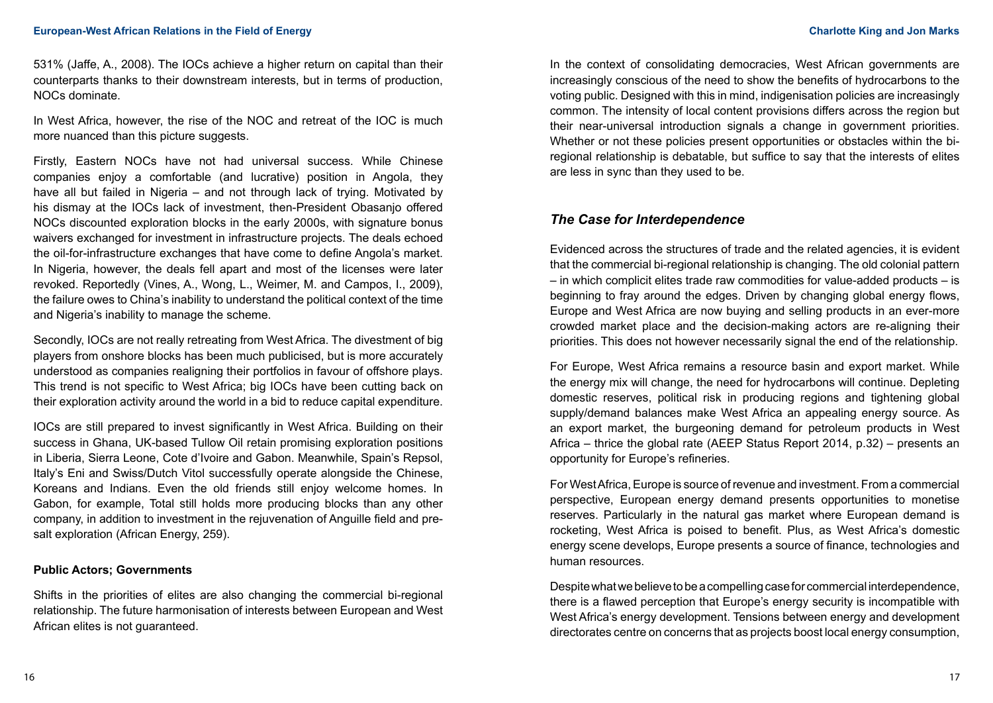531% (Jaffe, A., 2008). The IOCs achieve a higher return on capital than their counterparts thanks to their downstream interests, but in terms of production, NOCs dominate.

In West Africa, however, the rise of the NOC and retreat of the IOC is much more nuanced than this picture suggests.

Firstly, Eastern NOCs have not had universal success. While Chinese companies enjoy a comfortable (and lucrative) position in Angola, they have all but failed in Nigeria – and not through lack of trying. Motivated by his dismay at the IOCs lack of investment, then-President Obasanjo offered NOCs discounted exploration blocks in the early 2000s, with signature bonus waivers exchanged for investment in infrastructure projects. The deals echoed the oil-for-infrastructure exchanges that have come to define Angola's market. In Nigeria, however, the deals fell apart and most of the licenses were later revoked. Reportedly (Vines, A., Wong, L., Weimer, M. and Campos, I., 2009), the failure owes to China's inability to understand the political context of the time and Nigeria's inability to manage the scheme.

Secondly, IOCs are not really retreating from West Africa. The divestment of big players from onshore blocks has been much publicised, but is more accurately understood as companies realigning their portfolios in favour of offshore plays. This trend is not specific to West Africa; big IOCs have been cutting back on their exploration activity around the world in a bid to reduce capital expenditure.

IOCs are still prepared to invest significantly in West Africa. Building on their success in Ghana, UK-based Tullow Oil retain promising exploration positions in Liberia, Sierra Leone, Cote d'Ivoire and Gabon. Meanwhile, Spain's Repsol, Italy's Eni and Swiss/Dutch Vitol successfully operate alongside the Chinese, Koreans and Indians. Even the old friends still enjoy welcome homes. In Gabon, for example, Total still holds more producing blocks than any other company, in addition to investment in the rejuvenation of Anguille field and presalt exploration (African Energy, 259).

#### **Public Actors; Governments**

Shifts in the priorities of elites are also changing the commercial bi-regional relationship. The future harmonisation of interests between European and West African elites is not guaranteed.

In the context of consolidating democracies, West African governments are increasingly conscious of the need to show the benefits of hydrocarbons to the voting public. Designed with this in mind, indigenisation policies are increasingly common. The intensity of local content provisions differs across the region but their near-universal introduction signals a change in government priorities. Whether or not these policies present opportunities or obstacles within the biregional relationship is debatable, but suffice to say that the interests of elites are less in sync than they used to be.

## *The Case for Interdependence*

Evidenced across the structures of trade and the related agencies, it is evident that the commercial bi-regional relationship is changing. The old colonial pattern – in which complicit elites trade raw commodities for value-added products – is beginning to fray around the edges. Driven by changing global energy flows, Europe and West Africa are now buying and selling products in an ever-more crowded market place and the decision-making actors are re-aligning their priorities. This does not however necessarily signal the end of the relationship.

For Europe, West Africa remains a resource basin and export market. While the energy mix will change, the need for hydrocarbons will continue. Depleting domestic reserves, political risk in producing regions and tightening global supply/demand balances make West Africa an appealing energy source. As an export market, the burgeoning demand for petroleum products in West Africa – thrice the global rate (AEEP Status Report 2014, p.32) – presents an opportunity for Europe's refineries.

For West Africa, Europe is source of revenue and investment. From a commercial perspective, European energy demand presents opportunities to monetise reserves. Particularly in the natural gas market where European demand is rocketing, West Africa is poised to benefit. Plus, as West Africa's domestic energy scene develops, Europe presents a source of finance, technologies and human resources.

Despite what we believe to be a compelling case for commercial interdependence, there is a flawed perception that Europe's energy security is incompatible with West Africa's energy development. Tensions between energy and development directorates centre on concerns that as projects boost local energy consumption,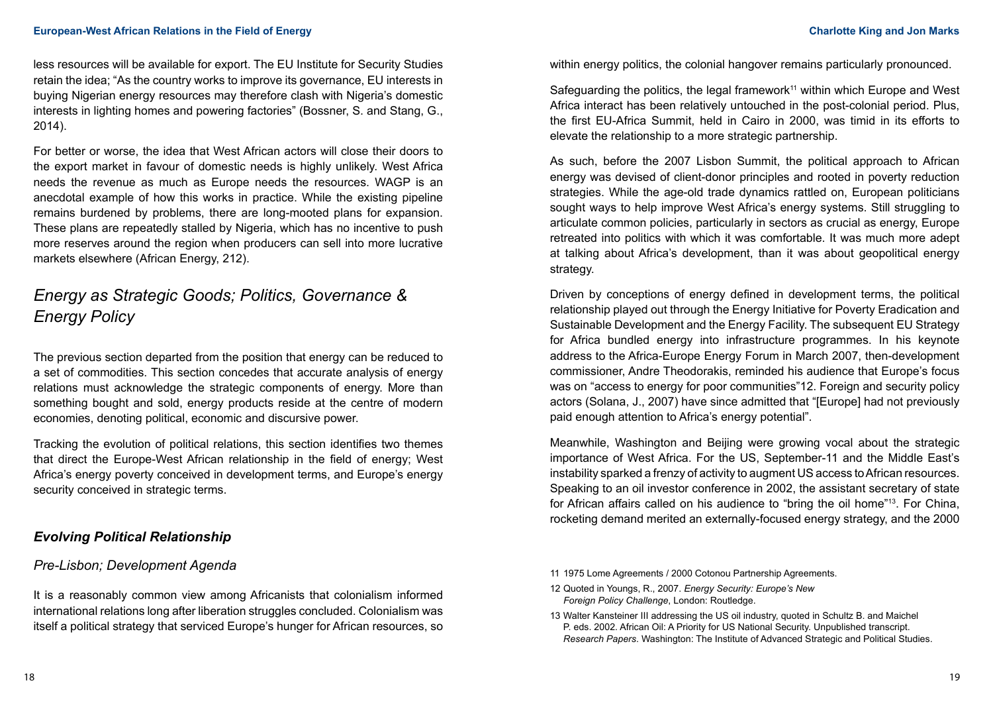less resources will be available for export. The EU Institute for Security Studies retain the idea; "As the country works to improve its governance, EU interests in buying Nigerian energy resources may therefore clash with Nigeria's domestic interests in lighting homes and powering factories" (Bossner, S. and Stang, G., 2014).

For better or worse, the idea that West African actors will close their doors to the export market in favour of domestic needs is highly unlikely. West Africa needs the revenue as much as Europe needs the resources. WAGP is an anecdotal example of how this works in practice. While the existing pipeline remains burdened by problems, there are long-mooted plans for expansion. These plans are repeatedly stalled by Nigeria, which has no incentive to push more reserves around the region when producers can sell into more lucrative markets elsewhere (African Energy, 212).

# *Energy as Strategic Goods; Politics, Governance & Energy Policy*

The previous section departed from the position that energy can be reduced to a set of commodities. This section concedes that accurate analysis of energy relations must acknowledge the strategic components of energy. More than something bought and sold, energy products reside at the centre of modern economies, denoting political, economic and discursive power.

Tracking the evolution of political relations, this section identifies two themes that direct the Europe-West African relationship in the field of energy; West Africa's energy poverty conceived in development terms, and Europe's energy security conceived in strategic terms.

## *Evolving Political Relationship*

## *Pre-Lisbon; Development Agenda*

It is a reasonably common view among Africanists that colonialism informed international relations long after liberation struggles concluded. Colonialism was itself a political strategy that serviced Europe's hunger for African resources, so

within energy politics, the colonial hangover remains particularly pronounced.

Safeguarding the politics, the legal framework<sup>11</sup> within which Europe and West Africa interact has been relatively untouched in the post-colonial period. Plus, the first EU-Africa Summit, held in Cairo in 2000, was timid in its efforts to elevate the relationship to a more strategic partnership.

As such, before the 2007 Lisbon Summit, the political approach to African energy was devised of client-donor principles and rooted in poverty reduction strategies. While the age-old trade dynamics rattled on, European politicians sought ways to help improve West Africa's energy systems. Still struggling to articulate common policies, particularly in sectors as crucial as energy, Europe retreated into politics with which it was comfortable. It was much more adept at talking about Africa's development, than it was about geopolitical energy strategy.

Driven by conceptions of energy defined in development terms, the political relationship played out through the Energy Initiative for Poverty Eradication and Sustainable Development and the Energy Facility. The subsequent EU Strategy for Africa bundled energy into infrastructure programmes. In his keynote address to the Africa-Europe Energy Forum in March 2007, then-development commissioner, Andre Theodorakis, reminded his audience that Europe's focus was on "access to energy for poor communities"12. Foreign and security policy actors (Solana, J., 2007) have since admitted that "[Europe] had not previously paid enough attention to Africa's energy potential".

Meanwhile, Washington and Beijing were growing vocal about the strategic importance of West Africa. For the US, September-11 and the Middle East's instability sparked a frenzy of activity to augment US access to African resources. Speaking to an oil investor conference in 2002, the assistant secretary of state for African affairs called on his audience to "bring the oil home"13. For China, rocketing demand merited an externally-focused energy strategy, and the 2000

- 12 Quoted in Youngs, R., 2007. *Energy Security: Europe's New Foreign Policy Challenge*, London: Routledge.
- 13 Walter Kansteiner III addressing the US oil industry, quoted in Schultz B. and Maichel P. eds. 2002. African Oil: A Priority for US National Security. Unpublished transcript. *Research Papers*. Washington: The Institute of Advanced Strategic and Political Studies.

<sup>11</sup> 1975 Lome Agreements / 2000 Cotonou Partnership Agreements.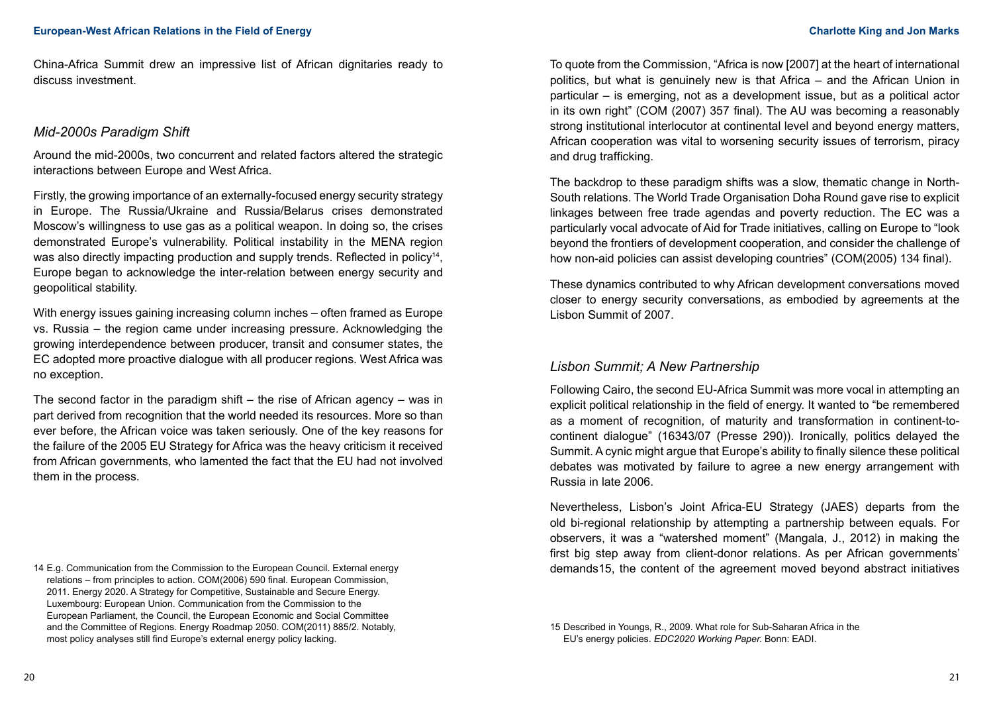China-Africa Summit drew an impressive list of African dignitaries ready to discuss investment.

### *Mid-2000s Paradigm Shift*

Around the mid-2000s, two concurrent and related factors altered the strategic interactions between Europe and West Africa.

Firstly, the growing importance of an externally-focused energy security strategy in Europe. The Russia/Ukraine and Russia/Belarus crises demonstrated Moscow's willingness to use gas as a political weapon. In doing so, the crises demonstrated Europe's vulnerability. Political instability in the MENA region was also directly impacting production and supply trends. Reflected in policy<sup>14</sup>, Europe began to acknowledge the inter-relation between energy security and geopolitical stability.

With energy issues gaining increasing column inches – often framed as Europe vs. Russia – the region came under increasing pressure. Acknowledging the growing interdependence between producer, transit and consumer states, the EC adopted more proactive dialogue with all producer regions. West Africa was no exception.

The second factor in the paradigm shift – the rise of African agency – was in part derived from recognition that the world needed its resources. More so than ever before, the African voice was taken seriously. One of the key reasons for the failure of the 2005 EU Strategy for Africa was the heavy criticism it received from African governments, who lamented the fact that the EU had not involved them in the process.

14 E.g. Communication from the Commission to the European Council. External energy relations – from principles to action. COM(2006) 590 final. European Commission, 2011. Energy 2020. A Strategy for Competitive, Sustainable and Secure Energy. Luxembourg: European Union. Communication from the Commission to the European Parliament, the Council, the European Economic and Social Committee and the Committee of Regions. Energy Roadmap 2050. COM(2011) 885/2. Notably, most policy analyses still find Europe's external energy policy lacking.

To quote from the Commission, "Africa is now [2007] at the heart of international politics, but what is genuinely new is that Africa – and the African Union in particular – is emerging, not as a development issue, but as a political actor in its own right" (COM (2007) 357 final). The AU was becoming a reasonably strong institutional interlocutor at continental level and beyond energy matters, African cooperation was vital to worsening security issues of terrorism, piracy and drug trafficking.

The backdrop to these paradigm shifts was a slow, thematic change in North-South relations. The World Trade Organisation Doha Round gave rise to explicit linkages between free trade agendas and poverty reduction. The EC was a particularly vocal advocate of Aid for Trade initiatives, calling on Europe to "look beyond the frontiers of development cooperation, and consider the challenge of how non-aid policies can assist developing countries" (COM(2005) 134 final).

These dynamics contributed to why African development conversations moved closer to energy security conversations, as embodied by agreements at the Lisbon Summit of 2007.

## *Lisbon Summit; A New Partnership*

Following Cairo, the second EU-Africa Summit was more vocal in attempting an explicit political relationship in the field of energy. It wanted to "be remembered as a moment of recognition, of maturity and transformation in continent-tocontinent dialogue" (16343/07 (Presse 290)). Ironically, politics delayed the Summit. A cynic might argue that Europe's ability to finally silence these political debates was motivated by failure to agree a new energy arrangement with Russia in late 2006.

Nevertheless, Lisbon's Joint Africa-EU Strategy (JAES) departs from the old bi-regional relationship by attempting a partnership between equals. For observers, it was a "watershed moment" (Mangala, J., 2012) in making the first big step away from client-donor relations. As per African governments' demands15, the content of the agreement moved beyond abstract initiatives

15 Described in Youngs, R., 2009. What role for Sub-Saharan Africa in the EU's energy policies. *EDC2020 Working Paper.* Bonn: EADI.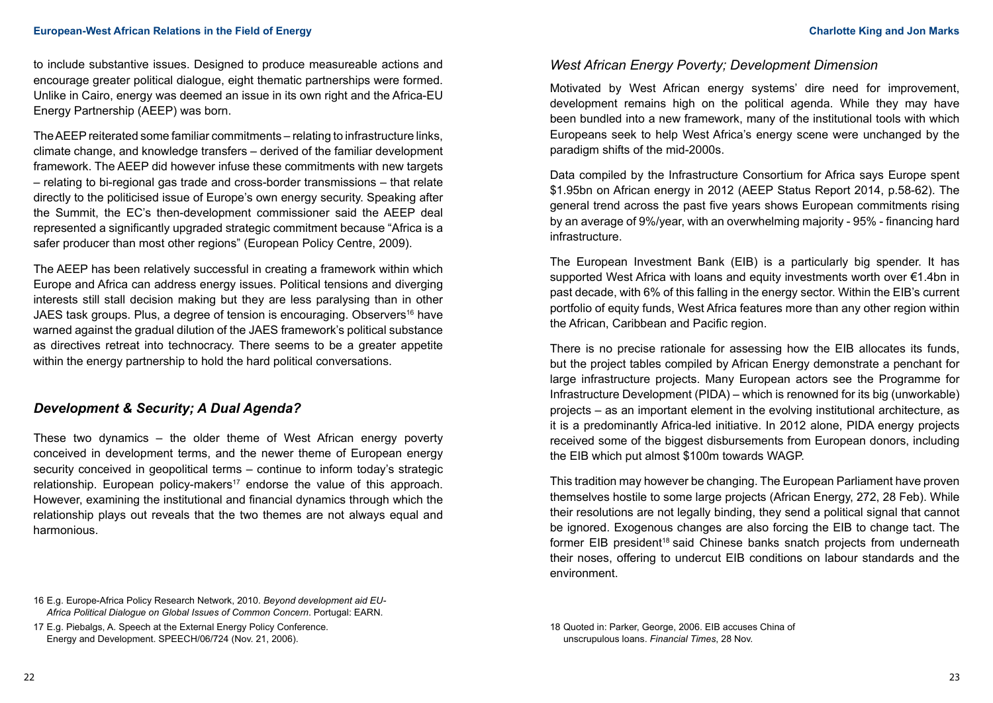to include substantive issues. Designed to produce measureable actions and encourage greater political dialogue, eight thematic partnerships were formed. Unlike in Cairo, energy was deemed an issue in its own right and the Africa-EU Energy Partnership (AEEP) was born.

The AEEP reiterated some familiar commitments – relating to infrastructure links, climate change, and knowledge transfers – derived of the familiar development framework. The AEEP did however infuse these commitments with new targets – relating to bi-regional gas trade and cross-border transmissions – that relate directly to the politicised issue of Europe's own energy security. Speaking after the Summit, the EC's then-development commissioner said the AEEP deal represented a significantly upgraded strategic commitment because "Africa is a safer producer than most other regions" (European Policy Centre, 2009).

The AEEP has been relatively successful in creating a framework within which Europe and Africa can address energy issues. Political tensions and diverging interests still stall decision making but they are less paralysing than in other JAES task groups. Plus, a degree of tension is encouraging. Observers<sup>16</sup> have warned against the gradual dilution of the JAES framework's political substance as directives retreat into technocracy. There seems to be a greater appetite within the energy partnership to hold the hard political conversations.

## *Development & Security; A Dual Agenda?*

These two dynamics – the older theme of West African energy poverty conceived in development terms, and the newer theme of European energy security conceived in geopolitical terms – continue to inform today's strategic relationship. European policy-makers<sup>17</sup> endorse the value of this approach. However, examining the institutional and financial dynamics through which the relationship plays out reveals that the two themes are not always equal and harmonious.

## *West African Energy Poverty; Development Dimension*

Motivated by West African energy systems' dire need for improvement, development remains high on the political agenda. While they may have been bundled into a new framework, many of the institutional tools with which Europeans seek to help West Africa's energy scene were unchanged by the paradigm shifts of the mid-2000s.

Data compiled by the Infrastructure Consortium for Africa says Europe spent \$1.95bn on African energy in 2012 (AEEP Status Report 2014, p.58-62). The general trend across the past five years shows European commitments rising by an average of 9%/year, with an overwhelming majority - 95% - financing hard infrastructure.

The European Investment Bank (EIB) is a particularly big spender. It has supported West Africa with loans and equity investments worth over €1.4bn in past decade, with 6% of this falling in the energy sector. Within the EIB's current portfolio of equity funds, West Africa features more than any other region within the African, Caribbean and Pacific region.

There is no precise rationale for assessing how the EIB allocates its funds, but the project tables compiled by African Energy demonstrate a penchant for large infrastructure projects. Many European actors see the Programme for Infrastructure Development (PIDA) – which is renowned for its big (unworkable) projects – as an important element in the evolving institutional architecture, as it is a predominantly Africa-led initiative. In 2012 alone, PIDA energy projects received some of the biggest disbursements from European donors, including the EIB which put almost \$100m towards WAGP.

This tradition may however be changing. The European Parliament have proven themselves hostile to some large projects (African Energy, 272, 28 Feb). While their resolutions are not legally binding, they send a political signal that cannot be ignored. Exogenous changes are also forcing the EIB to change tact. The former EIB president<sup>18</sup> said Chinese banks snatch projects from underneath their noses, offering to undercut EIB conditions on labour standards and the environment.

<sup>16</sup> E.g. Europe-Africa Policy Research Network, 2010. *Beyond development aid EU-Africa Political Dialogue on Global Issues of Common Concern*. Portugal: EARN.

<sup>17</sup> E.g. Piebalgs, A. Speech at the External Energy Policy Conference. Energy and Development. SPEECH/06/724 (Nov. 21, 2006).

<sup>18</sup> Quoted in: Parker, George, 2006. EIB accuses China of unscrupulous loans. *Financial Times*, 28 Nov.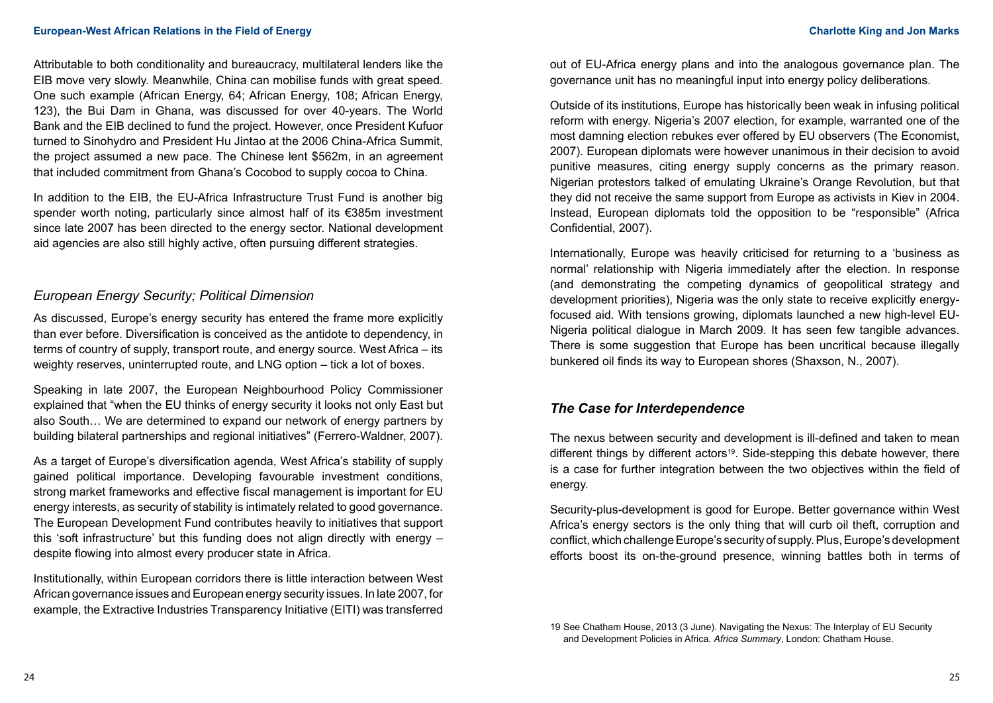Attributable to both conditionality and bureaucracy, multilateral lenders like the EIB move very slowly. Meanwhile, China can mobilise funds with great speed. One such example (African Energy, 64; African Energy, 108; African Energy, 123), the Bui Dam in Ghana, was discussed for over 40-years. The World Bank and the EIB declined to fund the project. However, once President Kufuor turned to Sinohydro and President Hu Jintao at the 2006 China-Africa Summit, the project assumed a new pace. The Chinese lent \$562m, in an agreement that included commitment from Ghana's Cocobod to supply cocoa to China.

In addition to the EIB, the EU-Africa Infrastructure Trust Fund is another big spender worth noting, particularly since almost half of its €385m investment since late 2007 has been directed to the energy sector. National development aid agencies are also still highly active, often pursuing different strategies.

## *European Energy Security; Political Dimension*

As discussed, Europe's energy security has entered the frame more explicitly than ever before. Diversification is conceived as the antidote to dependency, in terms of country of supply, transport route, and energy source. West Africa – its weighty reserves, uninterrupted route, and LNG option – tick a lot of boxes.

Speaking in late 2007, the European Neighbourhood Policy Commissioner explained that "when the EU thinks of energy security it looks not only East but also South… We are determined to expand our network of energy partners by building bilateral partnerships and regional initiatives" (Ferrero-Waldner, 2007).

As a target of Europe's diversification agenda, West Africa's stability of supply gained political importance. Developing favourable investment conditions, strong market frameworks and effective fiscal management is important for EU energy interests, as security of stability is intimately related to good governance. The European Development Fund contributes heavily to initiatives that support this 'soft infrastructure' but this funding does not align directly with energy – despite flowing into almost every producer state in Africa.

Institutionally, within European corridors there is little interaction between West African governance issues and European energy security issues. In late 2007, for example, the Extractive Industries Transparency Initiative (EITI) was transferred

out of EU-Africa energy plans and into the analogous governance plan. The governance unit has no meaningful input into energy policy deliberations.

Outside of its institutions, Europe has historically been weak in infusing political reform with energy. Nigeria's 2007 election, for example, warranted one of the most damning election rebukes ever offered by EU observers (The Economist, 2007). European diplomats were however unanimous in their decision to avoid punitive measures, citing energy supply concerns as the primary reason. Nigerian protestors talked of emulating Ukraine's Orange Revolution, but that they did not receive the same support from Europe as activists in Kiev in 2004. Instead, European diplomats told the opposition to be "responsible" (Africa Confidential, 2007).

Internationally, Europe was heavily criticised for returning to a 'business as normal' relationship with Nigeria immediately after the election. In response (and demonstrating the competing dynamics of geopolitical strategy and development priorities), Nigeria was the only state to receive explicitly energyfocused aid. With tensions growing, diplomats launched a new high-level EU-Nigeria political dialogue in March 2009. It has seen few tangible advances. There is some suggestion that Europe has been uncritical because illegally bunkered oil finds its way to European shores (Shaxson, N., 2007).

## *The Case for Interdependence*

The nexus between security and development is ill-defined and taken to mean different things by different actors<sup>19</sup>. Side-stepping this debate however, there is a case for further integration between the two objectives within the field of energy.

Security-plus-development is good for Europe. Better governance within West Africa's energy sectors is the only thing that will curb oil theft, corruption and conflict, which challenge Europe's security of supply. Plus, Europe's development efforts boost its on-the-ground presence, winning battles both in terms of

<sup>19</sup> See Chatham House, 2013 (3 June). Navigating the Nexus: The Interplay of EU Security and Development Policies in Africa. *Africa Summary*, London: Chatham House.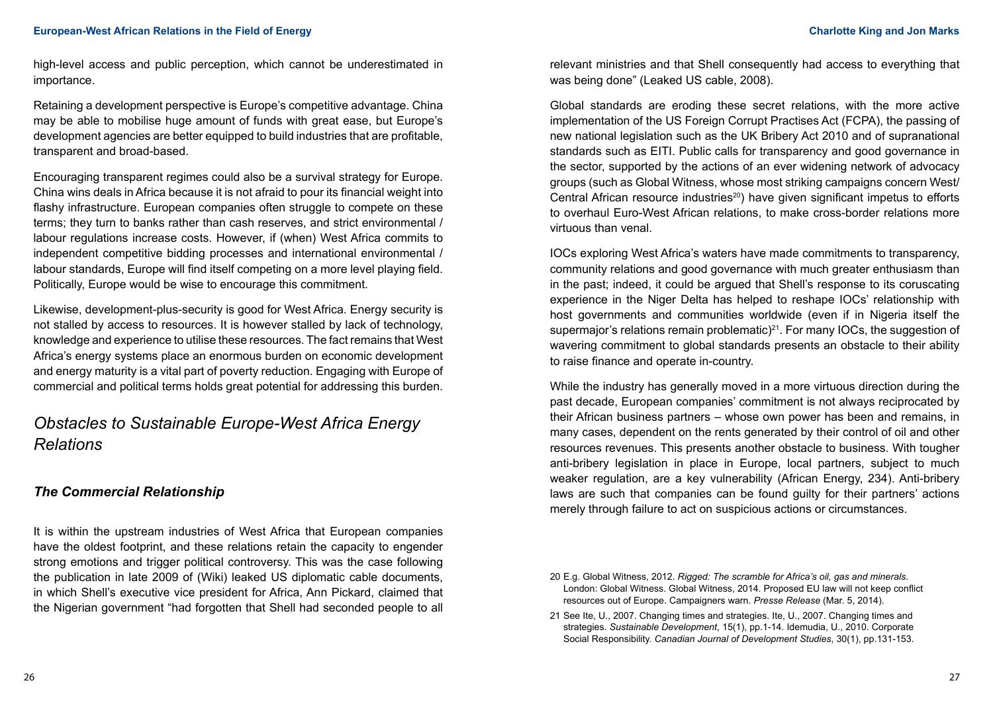high-level access and public perception, which cannot be underestimated in importance.

Retaining a development perspective is Europe's competitive advantage. China may be able to mobilise huge amount of funds with great ease, but Europe's development agencies are better equipped to build industries that are profitable, transparent and broad-based.

Encouraging transparent regimes could also be a survival strategy for Europe. China wins deals in Africa because it is not afraid to pour its financial weight into flashy infrastructure. European companies often struggle to compete on these terms; they turn to banks rather than cash reserves, and strict environmental / labour regulations increase costs. However, if (when) West Africa commits to independent competitive bidding processes and international environmental / labour standards, Europe will find itself competing on a more level playing field. Politically, Europe would be wise to encourage this commitment.

Likewise, development-plus-security is good for West Africa. Energy security is not stalled by access to resources. It is however stalled by lack of technology, knowledge and experience to utilise these resources. The fact remains that West Africa's energy systems place an enormous burden on economic development and energy maturity is a vital part of poverty reduction. Engaging with Europe of commercial and political terms holds great potential for addressing this burden.

# *Obstacles to Sustainable Europe-West Africa Energy Relations*

## *The Commercial Relationship*

It is within the upstream industries of West Africa that European companies have the oldest footprint, and these relations retain the capacity to engender strong emotions and trigger political controversy. This was the case following the publication in late 2009 of (Wiki) leaked US diplomatic cable documents, in which Shell's executive vice president for Africa, Ann Pickard, claimed that the Nigerian government "had forgotten that Shell had seconded people to all

relevant ministries and that Shell consequently had access to everything that was being done" (Leaked US cable, 2008).

Global standards are eroding these secret relations, with the more active implementation of the US Foreign Corrupt Practises Act (FCPA), the passing of new national legislation such as the UK Bribery Act 2010 and of supranational standards such as EITI. Public calls for transparency and good governance in the sector, supported by the actions of an ever widening network of advocacy groups (such as Global Witness, whose most striking campaigns concern West/ Central African resource industries<sup>20</sup>) have given significant impetus to efforts to overhaul Euro-West African relations, to make cross-border relations more virtuous than venal.

IOCs exploring West Africa's waters have made commitments to transparency, community relations and good governance with much greater enthusiasm than in the past; indeed, it could be argued that Shell's response to its coruscating experience in the Niger Delta has helped to reshape IOCs' relationship with host governments and communities worldwide (even if in Nigeria itself the supermajor's relations remain problematic)<sup>21</sup>. For many IOCs, the suggestion of wavering commitment to global standards presents an obstacle to their ability to raise finance and operate in-country.

While the industry has generally moved in a more virtuous direction during the past decade, European companies' commitment is not always reciprocated by their African business partners – whose own power has been and remains, in many cases, dependent on the rents generated by their control of oil and other resources revenues. This presents another obstacle to business. With tougher anti-bribery legislation in place in Europe, local partners, subject to much weaker regulation, are a key vulnerability (African Energy, 234). Anti-bribery laws are such that companies can be found guilty for their partners' actions merely through failure to act on suspicious actions or circumstances.

<sup>20</sup> E.g. Global Witness, 2012. *Rigged: The scramble for Africa's oil, gas and minerals.* London: Global Witness. Global Witness, 2014. Proposed EU law will not keep conflict resources out of Europe. Campaigners warn. *Presse Release* (Mar. 5, 2014).

<sup>21</sup> See Ite, U., 2007. Changing times and strategies. Ite, U., 2007. Changing times and strategies. *Sustainable Development*, 15(1), pp.1-14. Idemudia, U., 2010. Corporate Social Responsibility. *Canadian Journal of Development Studies*, 30(1), pp.131-153.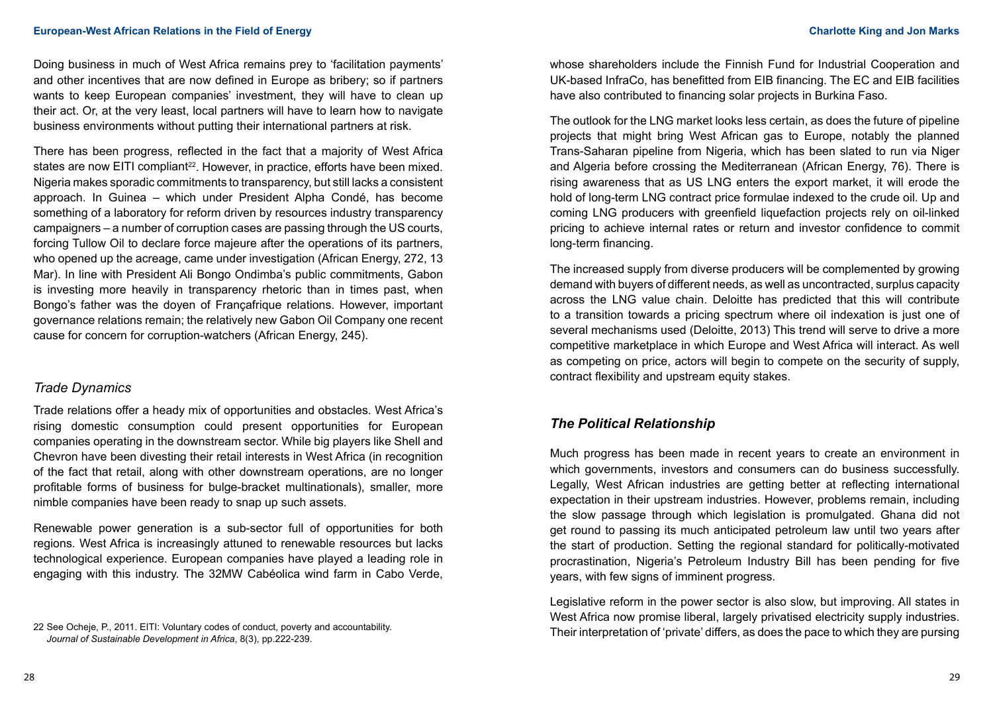Doing business in much of West Africa remains prey to 'facilitation payments' and other incentives that are now defined in Europe as bribery; so if partners wants to keep European companies' investment, they will have to clean up their act. Or, at the very least, local partners will have to learn how to navigate business environments without putting their international partners at risk.

There has been progress, reflected in the fact that a majority of West Africa states are now EITI compliant<sup>22</sup>. However, in practice, efforts have been mixed. Nigeria makes sporadic commitments to transparency, but still lacks a consistent approach. In Guinea – which under President Alpha Condé, has become something of a laboratory for reform driven by resources industry transparency campaigners – a number of corruption cases are passing through the US courts, forcing Tullow Oil to declare force majeure after the operations of its partners, who opened up the acreage, came under investigation (African Energy, 272, 13 Mar). In line with President Ali Bongo Ondimba's public commitments, Gabon is investing more heavily in transparency rhetoric than in times past, when Bongo's father was the doyen of Françafrique relations. However, important governance relations remain; the relatively new Gabon Oil Company one recent cause for concern for corruption-watchers (African Energy, 245).

## *Trade Dynamics*

Trade relations offer a heady mix of opportunities and obstacles. West Africa's rising domestic consumption could present opportunities for European companies operating in the downstream sector. While big players like Shell and Chevron have been divesting their retail interests in West Africa (in recognition of the fact that retail, along with other downstream operations, are no longer profitable forms of business for bulge-bracket multinationals), smaller, more nimble companies have been ready to snap up such assets.

Renewable power generation is a sub-sector full of opportunities for both regions. West Africa is increasingly attuned to renewable resources but lacks technological experience. European companies have played a leading role in engaging with this industry. The 32MW Cabéolica wind farm in Cabo Verde,

whose shareholders include the Finnish Fund for Industrial Cooperation and UK-based InfraCo, has benefitted from EIB financing. The EC and EIB facilities have also contributed to financing solar projects in Burkina Faso.

The outlook for the LNG market looks less certain, as does the future of pipeline projects that might bring West African gas to Europe, notably the planned Trans-Saharan pipeline from Nigeria, which has been slated to run via Niger and Algeria before crossing the Mediterranean (African Energy, 76). There is rising awareness that as US LNG enters the export market, it will erode the hold of long-term LNG contract price formulae indexed to the crude oil. Up and coming LNG producers with greenfield liquefaction projects rely on oil-linked pricing to achieve internal rates or return and investor confidence to commit long-term financing.

The increased supply from diverse producers will be complemented by growing demand with buyers of different needs, as well as uncontracted, surplus capacity across the LNG value chain. Deloitte has predicted that this will contribute to a transition towards a pricing spectrum where oil indexation is just one of several mechanisms used (Deloitte, 2013) This trend will serve to drive a more competitive marketplace in which Europe and West Africa will interact. As well as competing on price, actors will begin to compete on the security of supply, contract flexibility and upstream equity stakes.

## *The Political Relationship*

Much progress has been made in recent years to create an environment in which governments, investors and consumers can do business successfully. Legally, West African industries are getting better at reflecting international expectation in their upstream industries. However, problems remain, including the slow passage through which legislation is promulgated. Ghana did not get round to passing its much anticipated petroleum law until two years after the start of production. Setting the regional standard for politically-motivated procrastination, Nigeria's Petroleum Industry Bill has been pending for five years, with few signs of imminent progress.

Legislative reform in the power sector is also slow, but improving. All states in West Africa now promise liberal, largely privatised electricity supply industries. Their interpretation of 'private' differs, as does the pace to which they are pursing

<sup>22</sup> See Ocheje, P., 2011. EITI: Voluntary codes of conduct, poverty and accountability. *Journal of Sustainable Development in Africa*, 8(3), pp.222-239.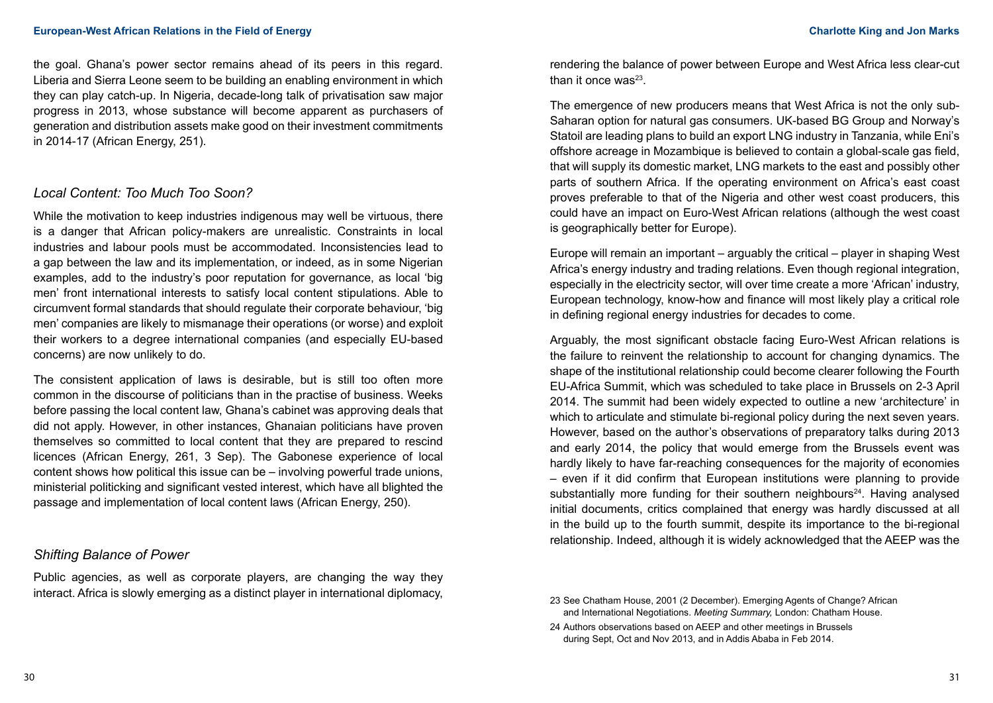the goal. Ghana's power sector remains ahead of its peers in this regard. Liberia and Sierra Leone seem to be building an enabling environment in which they can play catch-up. In Nigeria, decade-long talk of privatisation saw major progress in 2013, whose substance will become apparent as purchasers of generation and distribution assets make good on their investment commitments in 2014-17 (African Energy, 251).

## *Local Content: Too Much Too Soon?*

While the motivation to keep industries indigenous may well be virtuous, there is a danger that African policy-makers are unrealistic. Constraints in local industries and labour pools must be accommodated. Inconsistencies lead to a gap between the law and its implementation, or indeed, as in some Nigerian examples, add to the industry's poor reputation for governance, as local 'big men' front international interests to satisfy local content stipulations. Able to circumvent formal standards that should regulate their corporate behaviour, 'big men' companies are likely to mismanage their operations (or worse) and exploit their workers to a degree international companies (and especially EU-based concerns) are now unlikely to do.

The consistent application of laws is desirable, but is still too often more common in the discourse of politicians than in the practise of business. Weeks before passing the local content law, Ghana's cabinet was approving deals that did not apply. However, in other instances, Ghanaian politicians have proven themselves so committed to local content that they are prepared to rescind licences (African Energy, 261, 3 Sep). The Gabonese experience of local content shows how political this issue can be – involving powerful trade unions, ministerial politicking and significant vested interest, which have all blighted the passage and implementation of local content laws (African Energy, 250).

## *Shifting Balance of Power*

Public agencies, as well as corporate players, are changing the way they interact. Africa is slowly emerging as a distinct player in international diplomacy,

rendering the balance of power between Europe and West Africa less clear-cut than it once was $^{23}$ .

The emergence of new producers means that West Africa is not the only sub-Saharan option for natural gas consumers. UK-based BG Group and Norway's Statoil are leading plans to build an export LNG industry in Tanzania, while Eni's offshore acreage in Mozambique is believed to contain a global-scale gas field, that will supply its domestic market, LNG markets to the east and possibly other parts of southern Africa. If the operating environment on Africa's east coast proves preferable to that of the Nigeria and other west coast producers, this could have an impact on Euro-West African relations (although the west coast is geographically better for Europe).

Europe will remain an important – arguably the critical – player in shaping West Africa's energy industry and trading relations. Even though regional integration, especially in the electricity sector, will over time create a more 'African' industry, European technology, know-how and finance will most likely play a critical role in defining regional energy industries for decades to come.

Arguably, the most significant obstacle facing Euro-West African relations is the failure to reinvent the relationship to account for changing dynamics. The shape of the institutional relationship could become clearer following the Fourth EU-Africa Summit, which was scheduled to take place in Brussels on 2-3 April 2014. The summit had been widely expected to outline a new 'architecture' in which to articulate and stimulate bi-regional policy during the next seven years. However, based on the author's observations of preparatory talks during 2013 and early 2014, the policy that would emerge from the Brussels event was hardly likely to have far-reaching consequences for the majority of economies – even if it did confirm that European institutions were planning to provide substantially more funding for their southern neighbours $24$ . Having analysed initial documents, critics complained that energy was hardly discussed at all in the build up to the fourth summit, despite its importance to the bi-regional relationship. Indeed, although it is widely acknowledged that the AEEP was the

<sup>23</sup> See Chatham House, 2001 (2 December). Emerging Agents of Change? African and International Negotiations. *Meeting Summary,* London: Chatham House.

<sup>24</sup> Authors observations based on AEEP and other meetings in Brussels during Sept, Oct and Nov 2013, and in Addis Ababa in Feb 2014.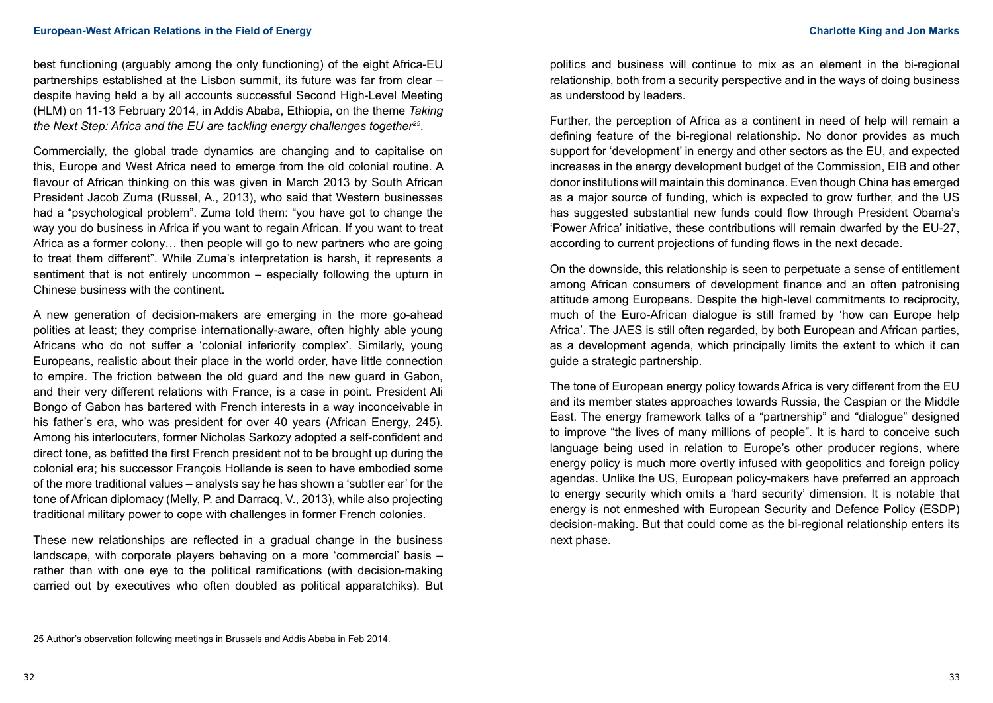best functioning (arguably among the only functioning) of the eight Africa-EU partnerships established at the Lisbon summit, its future was far from clear – despite having held a by all accounts successful Second High-Level Meeting (HLM) on 11-13 February 2014, in Addis Ababa, Ethiopia, on the theme *Taking the Next Step: Africa and the EU are tackling energy challenges together25*.

Commercially, the global trade dynamics are changing and to capitalise on this, Europe and West Africa need to emerge from the old colonial routine. A flavour of African thinking on this was given in March 2013 by South African President Jacob Zuma (Russel, A., 2013), who said that Western businesses had a "psychological problem". Zuma told them: "you have got to change the way you do business in Africa if you want to regain African. If you want to treat Africa as a former colony… then people will go to new partners who are going to treat them different". While Zuma's interpretation is harsh, it represents a sentiment that is not entirely uncommon – especially following the upturn in Chinese business with the continent.

A new generation of decision-makers are emerging in the more go-ahead polities at least; they comprise internationally-aware, often highly able young Africans who do not suffer a 'colonial inferiority complex'. Similarly, young Europeans, realistic about their place in the world order, have little connection to empire. The friction between the old guard and the new guard in Gabon, and their very different relations with France, is a case in point. President Ali Bongo of Gabon has bartered with French interests in a way inconceivable in his father's era, who was president for over 40 years (African Energy, 245). Among his interlocuters, former Nicholas Sarkozy adopted a self-confident and direct tone, as befitted the first French president not to be brought up during the colonial era; his successor François Hollande is seen to have embodied some of the more traditional values – analysts say he has shown a 'subtler ear' for the tone of African diplomacy (Melly, P. and Darracq, V., 2013), while also projecting traditional military power to cope with challenges in former French colonies.

These new relationships are reflected in a gradual change in the business landscape, with corporate players behaving on a more 'commercial' basis – rather than with one eye to the political ramifications (with decision-making carried out by executives who often doubled as political apparatchiks). But politics and business will continue to mix as an element in the bi-regional relationship, both from a security perspective and in the ways of doing business as understood by leaders.

Further, the perception of Africa as a continent in need of help will remain a defining feature of the bi-regional relationship. No donor provides as much support for 'development' in energy and other sectors as the EU, and expected increases in the energy development budget of the Commission, EIB and other donor institutions will maintain this dominance. Even though China has emerged as a major source of funding, which is expected to grow further, and the US has suggested substantial new funds could flow through President Obama's 'Power Africa' initiative, these contributions will remain dwarfed by the EU-27, according to current projections of funding flows in the next decade.

On the downside, this relationship is seen to perpetuate a sense of entitlement among African consumers of development finance and an often patronising attitude among Europeans. Despite the high-level commitments to reciprocity, much of the Euro-African dialogue is still framed by 'how can Europe help Africa'. The JAES is still often regarded, by both European and African parties, as a development agenda, which principally limits the extent to which it can guide a strategic partnership.

The tone of European energy policy towards Africa is very different from the EU and its member states approaches towards Russia, the Caspian or the Middle East. The energy framework talks of a "partnership" and "dialogue" designed to improve "the lives of many millions of people". It is hard to conceive such language being used in relation to Europe's other producer regions, where energy policy is much more overtly infused with geopolitics and foreign policy agendas. Unlike the US, European policy-makers have preferred an approach to energy security which omits a 'hard security' dimension. It is notable that energy is not enmeshed with European Security and Defence Policy (ESDP) decision-making. But that could come as the bi-regional relationship enters its next phase.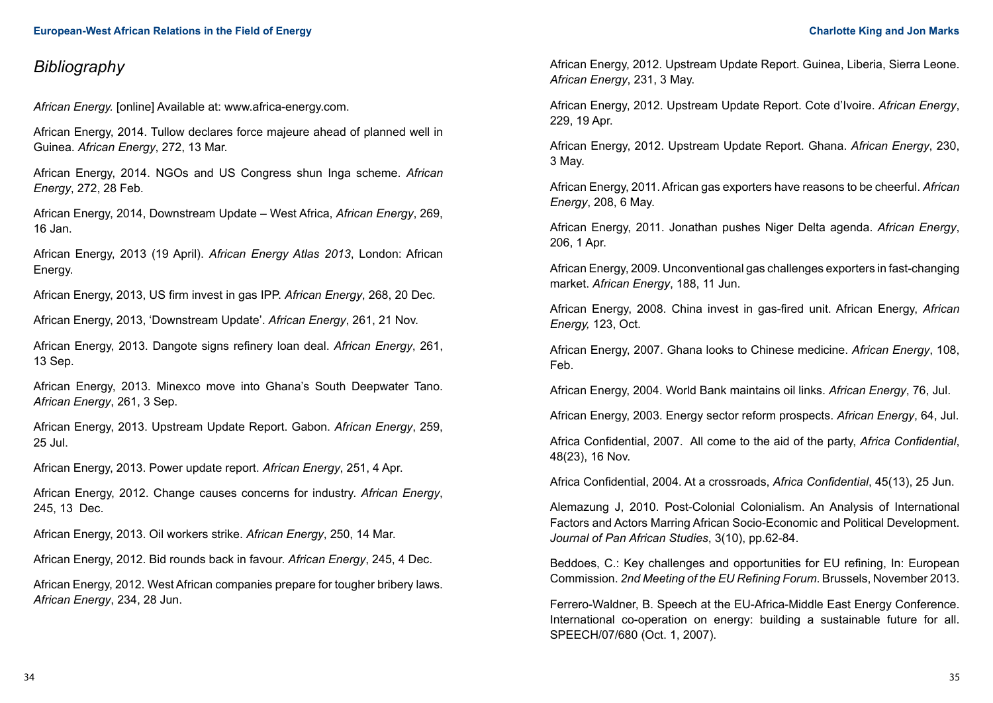# *Bibliography*

*African Energy.* [online] Available at: [www.africa-energy.com](http://www.africa-energy.com).

African Energy, 2014. Tullow declares force majeure ahead of planned well in Guinea. *African Energy*, 272, 13 Mar.

African Energy, 2014. NGOs and US Congress shun Inga scheme. *African Energy*, 272, 28 Feb.

African Energy, 2014, Downstream Update – West Africa, *African Energy*, 269, 16 Jan.

African Energy, 2013 (19 April). *African Energy Atlas 2013*, London: African Energy.

African Energy, 2013, US firm invest in gas IPP. *African Energy*, 268, 20 Dec.

African Energy, 2013, 'Downstream Update'. *African Energy*, 261, 21 Nov.

African Energy, 2013. Dangote signs refinery loan deal. *African Energy*, 261, 13 Sep.

African Energy, 2013. Minexco move into Ghana's South Deepwater Tano. *African Energy*, 261, 3 Sep.

African Energy, 2013. Upstream Update Report. Gabon. *African Energy*, 259, 25 Jul.

African Energy, 2013. Power update report. *African Energy*, 251, 4 Apr.

African Energy, 2012. Change causes concerns for industry. *African Energy*, 245, 13 Dec.

African Energy, 2013. Oil workers strike. *African Energy*, 250, 14 Mar.

African Energy, 2012. Bid rounds back in favour. *African Energy*, 245, 4 Dec.

African Energy, 2012. West African companies prepare for tougher bribery laws. *African Energy*, 234, 28 Jun.

African Energy, 2012. Upstream Update Report. Guinea, Liberia, Sierra Leone. *African Energy*, 231, 3 May.

African Energy, 2012. Upstream Update Report. Cote d'Ivoire. *African Energy*, 229, 19 Apr.

African Energy, 2012. Upstream Update Report. Ghana. *African Energy*, 230, 3 May.

African Energy, 2011. African gas exporters have reasons to be cheerful. *African Energy*, 208, 6 May.

African Energy, 2011. Jonathan pushes Niger Delta agenda. *African Energy*, 206, 1 Apr.

African Energy, 2009. Unconventional gas challenges exporters in fast-changing market. *African Energy*, 188, 11 Jun.

African Energy, 2008. China invest in gas-fired unit. African Energy, *African Energy,* 123, Oct.

African Energy, 2007. Ghana looks to Chinese medicine. *African Energy*, 108, Feb.

African Energy, 2004. World Bank maintains oil links. *African Energy*, 76, Jul.

African Energy, 2003. Energy sector reform prospects. *African Energy*, 64, Jul.

Africa Confidential, 2007. All come to the aid of the party, *Africa Confidential*, 48(23), 16 Nov.

Africa Confidential, 2004. At a crossroads, *Africa Confidential*, 45(13), 25 Jun.

Alemazung J, 2010. Post-Colonial Colonialism. An Analysis of International Factors and Actors Marring African Socio-Economic and Political Development. *Journal of Pan African Studies*, 3(10), pp.62-84.

Beddoes, C.: Key challenges and opportunities for EU refining, In: European Commission. *2nd Meeting of the EU Refining Forum*. Brussels, November 2013.

Ferrero-Waldner, B. Speech at the EU-Africa-Middle East Energy Conference. International co-operation on energy: building a sustainable future for all. SPEECH/07/680 (Oct. 1, 2007).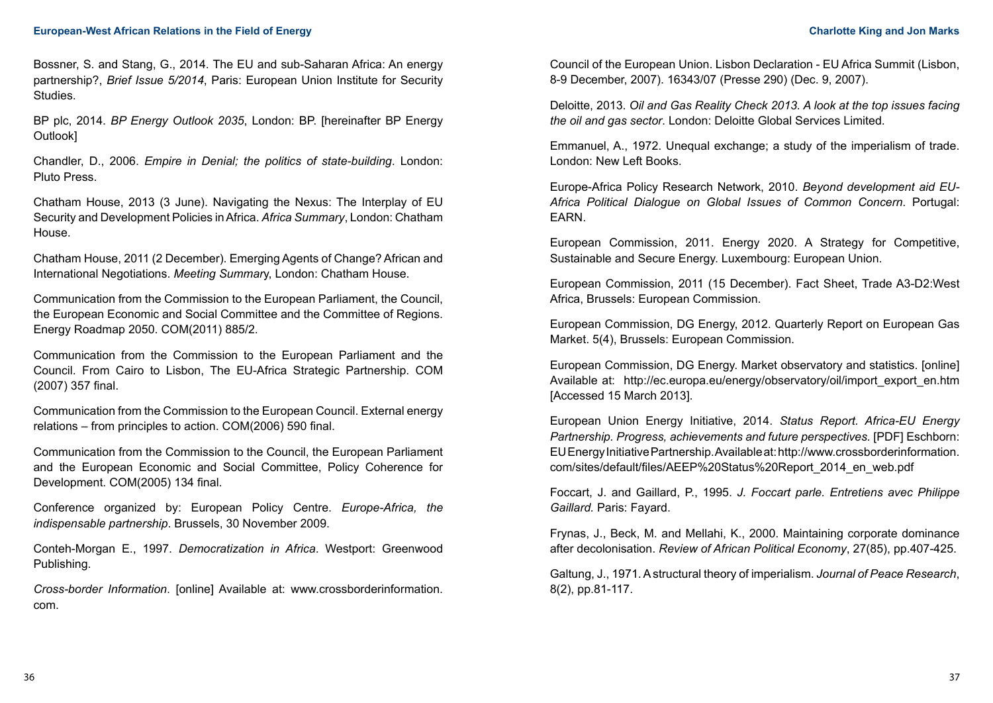Bossner, S. and Stang, G., 2014. The EU and sub-Saharan Africa: An energy partnership?, *Brief Issue 5/2014*, Paris: European Union Institute for Security Studies.

BP plc, 2014. *BP Energy Outlook 2035*, London: BP. [hereinafter BP Energy Outlook]

Chandler, D., 2006. *Empire in Denial; the politics of state-building*. London: Pluto Press.

Chatham House, 2013 (3 June). Navigating the Nexus: The Interplay of EU Security and Development Policies in Africa. *Africa Summary*, London: Chatham House.

Chatham House, 2011 (2 December). Emerging Agents of Change? African and International Negotiations. *Meeting Summar*y, London: Chatham House.

Communication from the Commission to the European Parliament, the Council, the European Economic and Social Committee and the Committee of Regions. Energy Roadmap 2050. COM(2011) 885/2.

Communication from the Commission to the European Parliament and the Council. From Cairo to Lisbon, The EU-Africa Strategic Partnership. COM (2007) 357 final.

Communication from the Commission to the European Council. External energy relations – from principles to action. COM(2006) 590 final.

Communication from the Commission to the Council, the European Parliament and the European Economic and Social Committee, Policy Coherence for Development. COM(2005) 134 final.

Conference organized by: European Policy Centre. *Europe-Africa, the indispensable partnership*. Brussels, 30 November 2009.

Conteh-Morgan E., 1997. *Democratization in Africa*. Westport: Greenwood Publishing.

*Cross-border Information*. [online] Available at: www.crossborderinformation. com.

Council of the European Union. Lisbon Declaration - EU Africa Summit (Lisbon, 8-9 December, 2007). 16343/07 (Presse 290) (Dec. 9, 2007).

Deloitte, 2013. *Oil and Gas Reality Check 2013. A look at the top issues facing the oil and gas sector*. London: Deloitte Global Services Limited.

Emmanuel, A., 1972. Unequal exchange; a study of the imperialism of trade. London: New Left Books.

Europe-Africa Policy Research Network, 2010. *Beyond development aid EU-Africa Political Dialogue on Global Issues of Common Concern*. Portugal: EARN.

European Commission, 2011. Energy 2020. A Strategy for Competitive, Sustainable and Secure Energy. Luxembourg: European Union.

European Commission, 2011 (15 December). Fact Sheet, Trade A3-D2:West Africa, Brussels: European Commission.

European Commission, DG Energy, 2012. Quarterly Report on European Gas Market. 5(4), Brussels: European Commission.

European Commission, DG Energy. Market observatory and statistics. [online] Available at: [http://ec.europa.eu/energy/observatory/oil/import\\_export\\_en.htm](http://ec.europa.eu/energy/observatory/oil/import_export_en.htm)  [Accessed 15 March 2013].

European Union Energy Initiative, 2014. *Status Report. Africa-EU Energy Partnership. Progress, achievements and future perspectives.* [PDF] Eschborn: EU Energy Initiative Partnership. Available at: http://www.crossborderinformation. com/sites/default/files/AEEP%20Status%20Report\_2014\_en\_web.pdf

Foccart, J. and Gaillard, P., 1995. *J. Foccart parle. Entretiens avec Philippe Gaillard.* Paris: Fayard.

Frynas, J., Beck, M. and Mellahi, K., 2000. Maintaining corporate dominance after decolonisation. *Review of African Political Economy*, 27(85), pp.407-425.

Galtung, J., 1971. A structural theory of imperialism. *Journal of Peace Research*, 8(2), pp.81-117.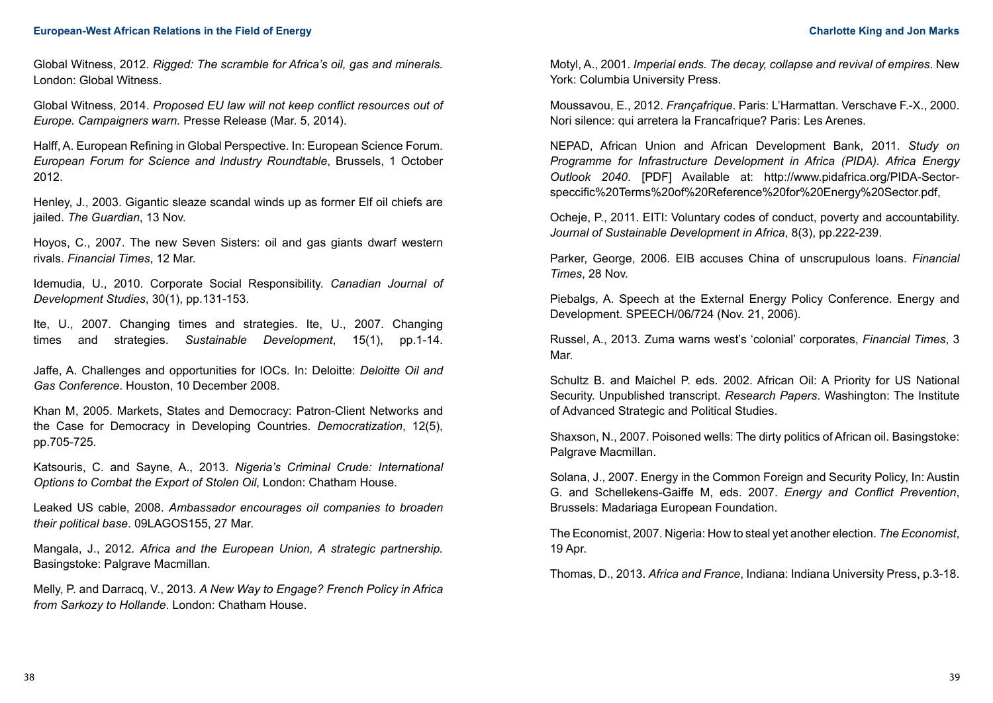Global Witness, 2012. *Rigged: The scramble for Africa's oil, gas and minerals.*  London: Global Witness.

Global Witness, 2014. *Proposed EU law will not keep conflict resources out of Europe. Campaigners warn.* Presse Release (Mar. 5, 2014).

Halff, A. European Refining in Global Perspective. In: European Science Forum. *European Forum for Science and Industry Roundtable*, Brussels, 1 October 2012.

Henley, J., 2003. Gigantic sleaze scandal winds up as former Elf oil chiefs are jailed. *The Guardian*, 13 Nov.

Hoyos, C., 2007. The new Seven Sisters: oil and gas giants dwarf western rivals. *Financial Times*, 12 Mar.

Idemudia, U., 2010. Corporate Social Responsibility. *Canadian Journal of Development Studies*, 30(1), pp.131-153.

Ite, U., 2007. Changing times and strategies. Ite, U., 2007. Changing times and strategies. *Sustainable Development*, 15(1), pp.1-14.

Jaffe, A. Challenges and opportunities for IOCs. In: Deloitte: *Deloitte Oil and Gas Conference*. Houston, 10 December 2008.

Khan M, 2005. Markets, States and Democracy: Patron-Client Networks and the Case for Democracy in Developing Countries. *Democratization*, 12(5), pp.705-725.

Katsouris, C. and Sayne, A., 2013. *Nigeria's Criminal Crude: International Options to Combat the Export of Stolen Oil*, London: Chatham House.

Leaked US cable, 2008. *Ambassador encourages oil companies to broaden their political base*. 09LAGOS155, 27 Mar.

Mangala, J., 2012. *Africa and the European Union, A strategic partnership.*  Basingstoke: Palgrave Macmillan.

Melly, P. and Darracq, V., 2013. *A New Way to Engage? French Policy in Africa from Sarkozy to Hollande*. London: Chatham House.

Motyl, A., 2001. *Imperial ends. The decay, collapse and revival of empires*. New York: Columbia University Press.

Moussavou, E., 2012. *Françafrique*. Paris: L'Harmattan. Verschave F.-X., 2000. Nori silence: qui arretera la Francafrique? Paris: Les Arenes.

NEPAD, African Union and African Development Bank, 2011. *Study on Programme for Infrastructure Development in Africa (PIDA). Africa Energy Outlook 2040*. [PDF] Available at: http://www.pidafrica.org/PIDA-Sectorspeccific%20Terms%20of%20Reference%20for%20Energy%20Sector.pdf,

Ocheje, P., 2011. EITI: Voluntary codes of conduct, poverty and accountability. *Journal of Sustainable Development in Africa*, 8(3), pp.222-239.

Parker, George, 2006. EIB accuses China of unscrupulous loans. *Financial Times*, 28 Nov.

Piebalgs, A. Speech at the External Energy Policy Conference. Energy and Development. SPEECH/06/724 (Nov. 21, 2006).

Russel, A., 2013. Zuma warns west's 'colonial' corporates, *Financial Times*, 3 Mar.

Schultz B. and Maichel P. eds. 2002. African Oil: A Priority for US National Security. Unpublished transcript. *Research Papers*. Washington: The Institute of Advanced Strategic and Political Studies.

Shaxson, N., 2007. Poisoned wells: The dirty politics of African oil. Basingstoke: Palgrave Macmillan.

Solana, J., 2007. Energy in the Common Foreign and Security Policy, In: Austin G. and Schellekens-Gaiffe M, eds. 2007. *Energy and Conflict Prevention*, Brussels: Madariaga European Foundation.

The Economist, 2007. Nigeria: How to steal yet another election. *The Economist*, 19 Apr.

Thomas, D., 2013. *Africa and France*, Indiana: Indiana University Press, p.3-18.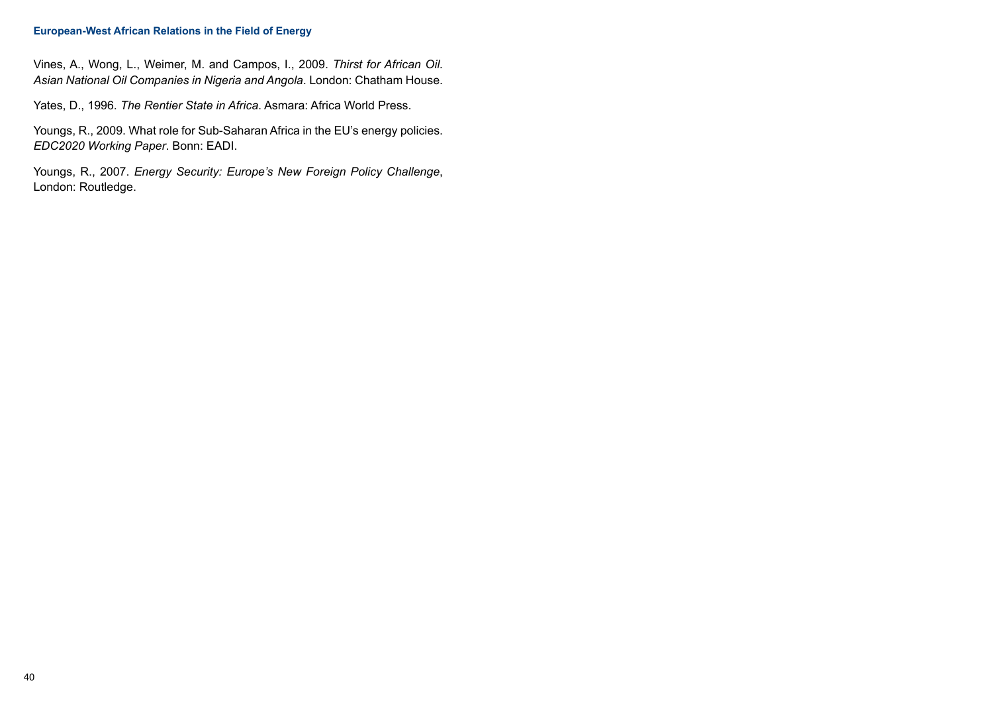#### **European-West African Relations in the Field of Energy**

Vines, A., Wong, L., Weimer, M. and Campos, I., 2009. *Thirst for African Oil. Asian National Oil Companies in Nigeria and Angola*. London: Chatham House.

Yates, D., 1996. *The Rentier State in Africa*. Asmara: Africa World Press.

Youngs, R., 2009. What role for Sub-Saharan Africa in the EU's energy policies. *EDC2020 Working Paper*. Bonn: EADI.

Youngs, R., 2007. *Energy Security: Europe's New Foreign Policy Challenge*, London: Routledge.